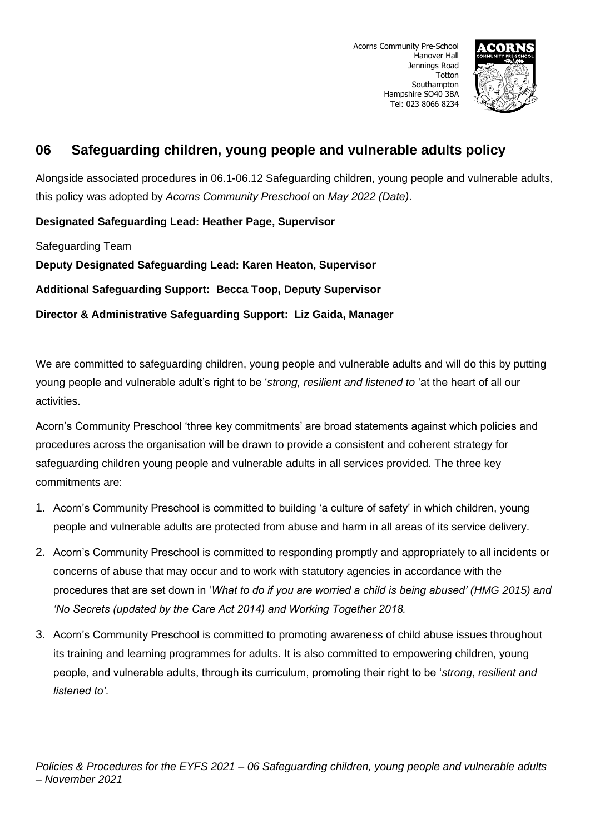

Alongside associated procedures in 06.1-06.12 Safeguarding children, young people and vulnerable adults, this policy was adopted by *Acorns Community Preschool* on *May 2022 (Date)*.

**Designated Safeguarding Lead: Heather Page, Supervisor**

Safeguarding Team

**Deputy Designated Safeguarding Lead: Karen Heaton, Supervisor**

**Additional Safeguarding Support: Becca Toop, Deputy Supervisor**

**Director & Administrative Safeguarding Support: Liz Gaida, Manager**

We are committed to safeguarding children, young people and vulnerable adults and will do this by putting young people and vulnerable adult's right to be '*strong, resilient and listened to* 'at the heart of all our activities.

Acorn's Community Preschool 'three key commitments' are broad statements against which policies and procedures across the organisation will be drawn to provide a consistent and coherent strategy for safeguarding children young people and vulnerable adults in all services provided. The three key commitments are:

- 1. Acorn's Community Preschool is committed to building 'a culture of safety' in which children, young people and vulnerable adults are protected from abuse and harm in all areas of its service delivery.
- 2. Acorn's Community Preschool is committed to responding promptly and appropriately to all incidents or concerns of abuse that may occur and to work with statutory agencies in accordance with the procedures that are set down in '*What to do if you are worried a child is being abused' (HMG 2015) and 'No Secrets (updated by the Care Act 2014) and Working Together 2018.*
- 3. Acorn's Community Preschool is committed to promoting awareness of child abuse issues throughout its training and learning programmes for adults. It is also committed to empowering children, young people, and vulnerable adults, through its curriculum, promoting their right to be '*strong*, *resilient and listened to'*.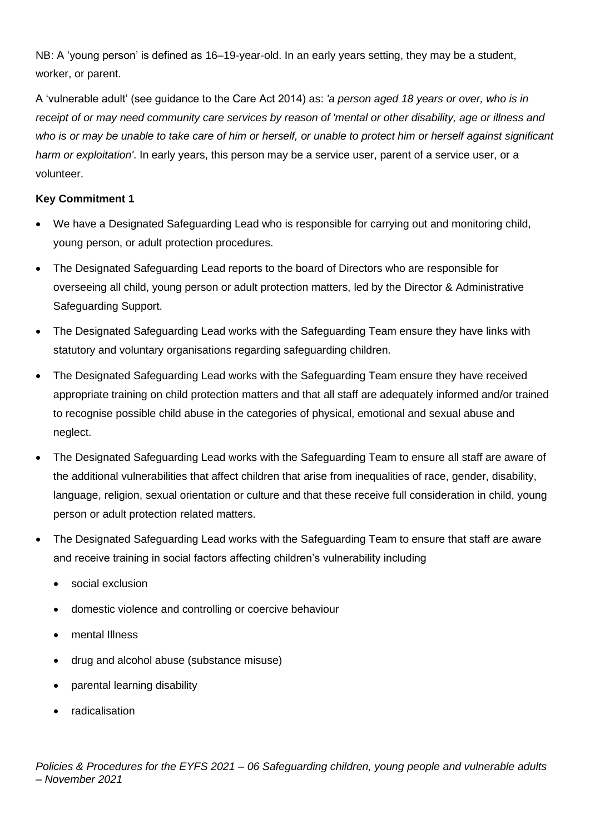NB: A 'young person' is defined as 16–19-year-old. In an early years setting, they may be a student, worker, or parent.

A 'vulnerable adult' (see guidance to the Care Act 2014) as: *'a person aged 18 years or over, who is in receipt of or may need community care services by reason of 'mental or other disability, age or illness and*  who is or may be unable to take care of him or herself, or unable to protect him or herself against significant *harm or exploitation'*. In early years, this person may be a service user, parent of a service user, or a volunteer.

# **Key Commitment 1**

- We have a Designated Safeguarding Lead who is responsible for carrying out and monitoring child, young person, or adult protection procedures.
- The Designated Safeguarding Lead reports to the board of Directors who are responsible for overseeing all child, young person or adult protection matters, led by the Director & Administrative Safeguarding Support.
- The Designated Safeguarding Lead works with the Safeguarding Team ensure they have links with statutory and voluntary organisations regarding safeguarding children.
- The Designated Safeguarding Lead works with the Safeguarding Team ensure they have received appropriate training on child protection matters and that all staff are adequately informed and/or trained to recognise possible child abuse in the categories of physical, emotional and sexual abuse and neglect.
- The Designated Safeguarding Lead works with the Safeguarding Team to ensure all staff are aware of the additional vulnerabilities that affect children that arise from inequalities of race, gender, disability, language, religion, sexual orientation or culture and that these receive full consideration in child, young person or adult protection related matters.
- The Designated Safeguarding Lead works with the Safeguarding Team to ensure that staff are aware and receive training in social factors affecting children's vulnerability including
	- social exclusion
	- domestic violence and controlling or coercive behaviour
	- mental Illness
	- drug and alcohol abuse (substance misuse)
	- parental learning disability
	- radicalisation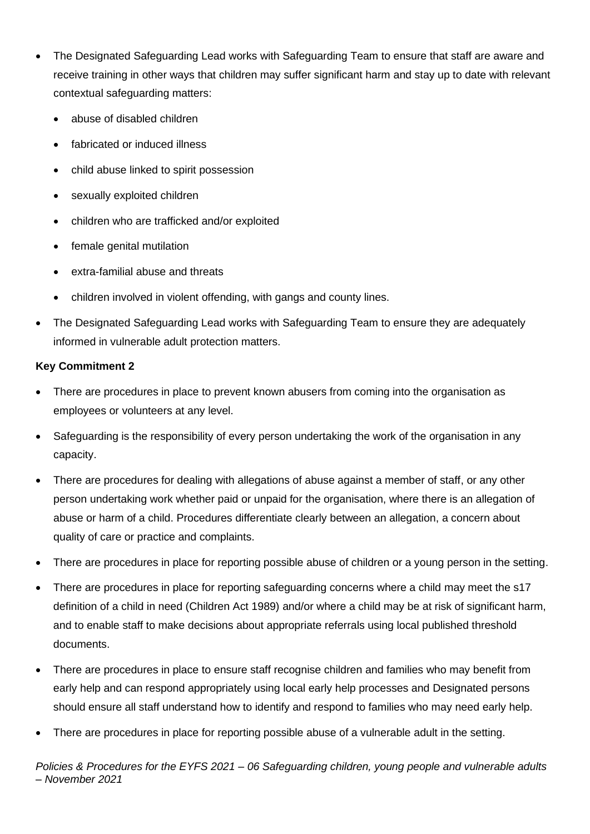- The Designated Safeguarding Lead works with Safeguarding Team to ensure that staff are aware and receive training in other ways that children may suffer significant harm and stay up to date with relevant contextual safeguarding matters:
	- abuse of disabled children
	- fabricated or induced illness
	- child abuse linked to spirit possession
	- sexually exploited children
	- children who are trafficked and/or exploited
	- female genital mutilation
	- extra-familial abuse and threats
	- children involved in violent offending, with gangs and county lines.
- The Designated Safeguarding Lead works with Safeguarding Team to ensure they are adequately informed in vulnerable adult protection matters.

# **Key Commitment 2**

- There are procedures in place to prevent known abusers from coming into the organisation as employees or volunteers at any level.
- Safeguarding is the responsibility of every person undertaking the work of the organisation in any capacity.
- There are procedures for dealing with allegations of abuse against a member of staff, or any other person undertaking work whether paid or unpaid for the organisation, where there is an allegation of abuse or harm of a child. Procedures differentiate clearly between an allegation, a concern about quality of care or practice and complaints.
- There are procedures in place for reporting possible abuse of children or a young person in the setting.
- There are procedures in place for reporting safeguarding concerns where a child may meet the s17 definition of a child in need (Children Act 1989) and/or where a child may be at risk of significant harm, and to enable staff to make decisions about appropriate referrals using local published threshold documents.
- There are procedures in place to ensure staff recognise children and families who may benefit from early help and can respond appropriately using local early help processes and Designated persons should ensure all staff understand how to identify and respond to families who may need early help.
- There are procedures in place for reporting possible abuse of a vulnerable adult in the setting.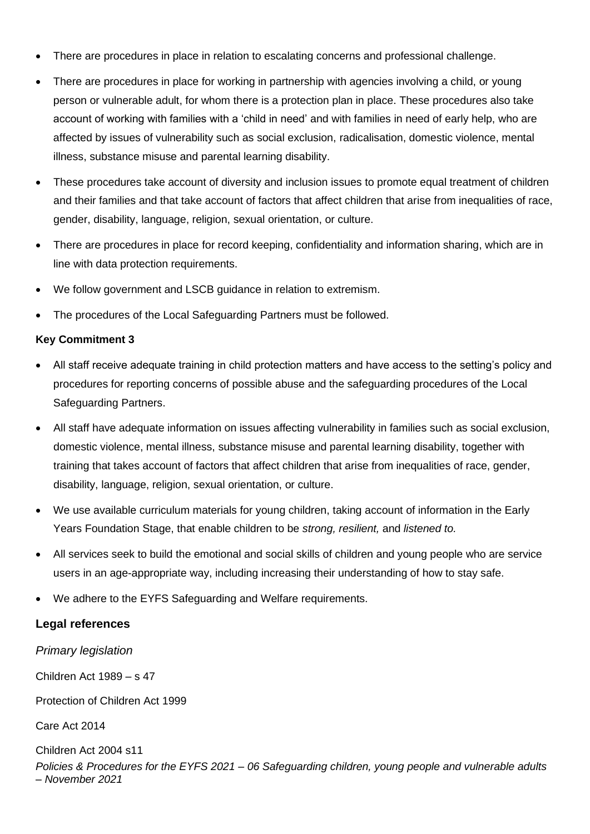- There are procedures in place in relation to escalating concerns and professional challenge.
- There are procedures in place for working in partnership with agencies involving a child, or young person or vulnerable adult, for whom there is a protection plan in place. These procedures also take account of working with families with a 'child in need' and with families in need of early help, who are affected by issues of vulnerability such as social exclusion, radicalisation, domestic violence, mental illness, substance misuse and parental learning disability.
- These procedures take account of diversity and inclusion issues to promote equal treatment of children and their families and that take account of factors that affect children that arise from inequalities of race, gender, disability, language, religion, sexual orientation, or culture.
- There are procedures in place for record keeping, confidentiality and information sharing, which are in line with data protection requirements.
- We follow government and LSCB guidance in relation to extremism.
- The procedures of the Local Safeguarding Partners must be followed.

### **Key Commitment 3**

- All staff receive adequate training in child protection matters and have access to the setting's policy and procedures for reporting concerns of possible abuse and the safeguarding procedures of the Local Safeguarding Partners.
- All staff have adequate information on issues affecting vulnerability in families such as social exclusion, domestic violence, mental illness, substance misuse and parental learning disability, together with training that takes account of factors that affect children that arise from inequalities of race, gender, disability, language, religion, sexual orientation, or culture.
- We use available curriculum materials for young children, taking account of information in the Early Years Foundation Stage, that enable children to be *strong, resilient,* and *listened to.*
- All services seek to build the emotional and social skills of children and young people who are service users in an age-appropriate way, including increasing their understanding of how to stay safe.
- We adhere to the EYFS Safeguarding and Welfare requirements.

# **Legal references**

*Primary legislation*

Children Act 1989 – s 47

Protection of Children Act 1999

Care Act 2014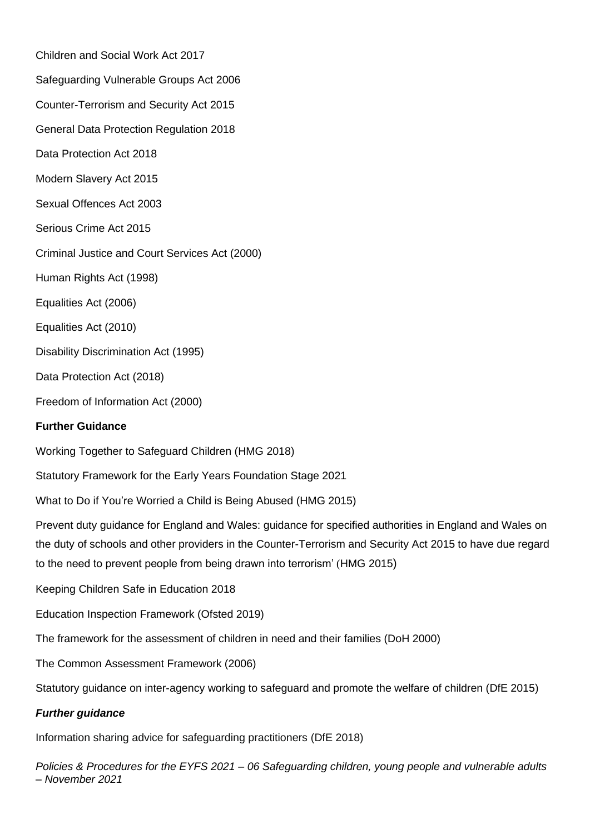Children and Social Work Act 2017 Safeguarding Vulnerable Groups Act 2006 Counter-Terrorism and Security Act 2015 General Data Protection Regulation 2018 Data Protection Act 2018 Modern Slavery Act 2015 Sexual Offences Act 2003 Serious Crime Act 2015 Criminal Justice and Court Services Act (2000) Human Rights Act (1998) Equalities Act (2006) Equalities Act (2010) Disability Discrimination Act (1995) Data Protection Act (2018) Freedom of Information Act (2000)

# **Further Guidance**

Working Together to Safeguard Children (HMG 2018)

Statutory Framework for the Early Years Foundation Stage 2021

What to Do if You're Worried a Child is Being Abused (HMG 2015)

Prevent duty guidance for England and Wales: guidance for specified authorities in England and Wales on the duty of schools and other providers in the Counter-Terrorism and Security Act 2015 to have due regard to the need to prevent people from being drawn into terrorism' (HMG 2015)

Keeping Children Safe in Education 2018

Education Inspection Framework (Ofsted 2019)

The framework for the assessment of children in need and their families (DoH 2000)

The Common Assessment Framework (2006)

Statutory guidance on inter-agency working to safeguard and promote the welfare of children (DfE 2015)

# *Further guidance*

Information sharing advice for safeguarding practitioners (DfE 2018)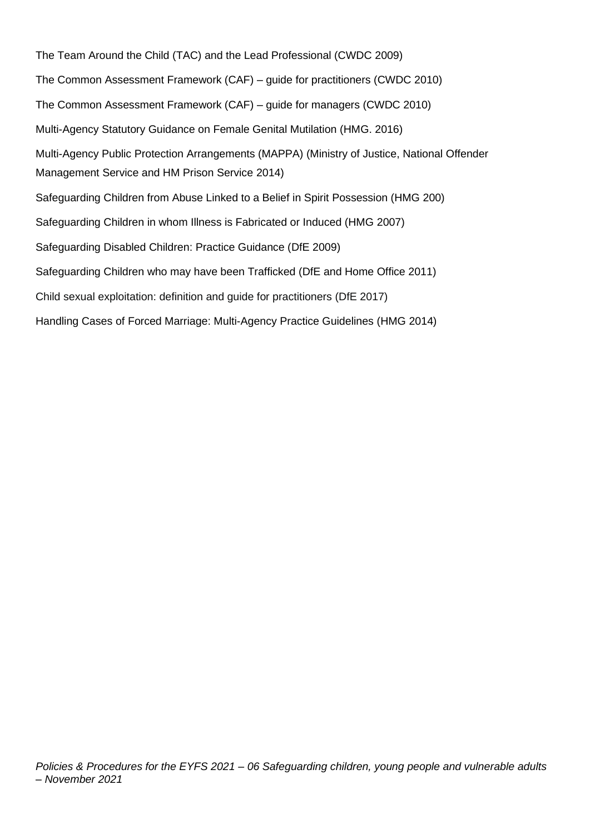The Team Around the Child (TAC) and the Lead Professional (CWDC 2009) The Common Assessment Framework (CAF) – guide for practitioners (CWDC 2010) The Common Assessment Framework (CAF) – guide for managers (CWDC 2010) Multi-Agency Statutory Guidance on Female Genital Mutilation (HMG. 2016) Multi-Agency Public Protection Arrangements (MAPPA) (Ministry of Justice, National Offender Management Service and HM Prison Service 2014) Safeguarding Children from Abuse Linked to a Belief in Spirit Possession (HMG 200) Safeguarding Children in whom Illness is Fabricated or Induced (HMG 2007) Safeguarding Disabled Children: Practice Guidance (DfE 2009) Safeguarding Children who may have been Trafficked (DfE and Home Office 2011) Child sexual exploitation: definition and guide for practitioners (DfE 2017) Handling Cases of Forced Marriage: Multi-Agency Practice Guidelines (HMG 2014)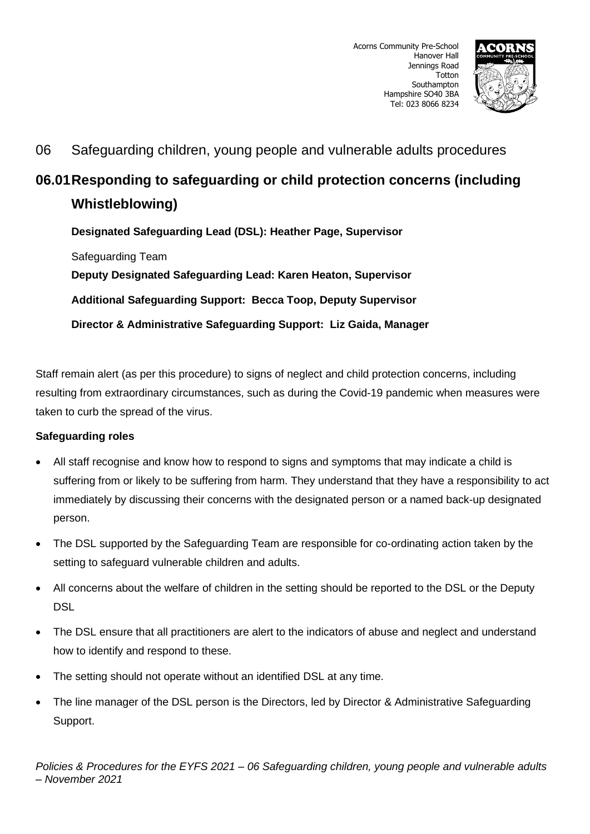

# **06.01Responding to safeguarding or child protection concerns (including Whistleblowing)**

**Designated Safeguarding Lead (DSL): Heather Page, Supervisor** Safeguarding Team **Deputy Designated Safeguarding Lead: Karen Heaton, Supervisor Additional Safeguarding Support: Becca Toop, Deputy Supervisor Director & Administrative Safeguarding Support: Liz Gaida, Manager**

Staff remain alert (as per this procedure) to signs of neglect and child protection concerns, including resulting from extraordinary circumstances, such as during the Covid-19 pandemic when measures were taken to curb the spread of the virus.

# **Safeguarding roles**

- All staff recognise and know how to respond to signs and symptoms that may indicate a child is suffering from or likely to be suffering from harm. They understand that they have a responsibility to act immediately by discussing their concerns with the designated person or a named back-up designated person.
- The DSL supported by the Safeguarding Team are responsible for co-ordinating action taken by the setting to safeguard vulnerable children and adults.
- All concerns about the welfare of children in the setting should be reported to the DSL or the Deputy DSL
- The DSL ensure that all practitioners are alert to the indicators of abuse and neglect and understand how to identify and respond to these.
- The setting should not operate without an identified DSL at any time.
- The line manager of the DSL person is the Directors, led by Director & Administrative Safeguarding Support.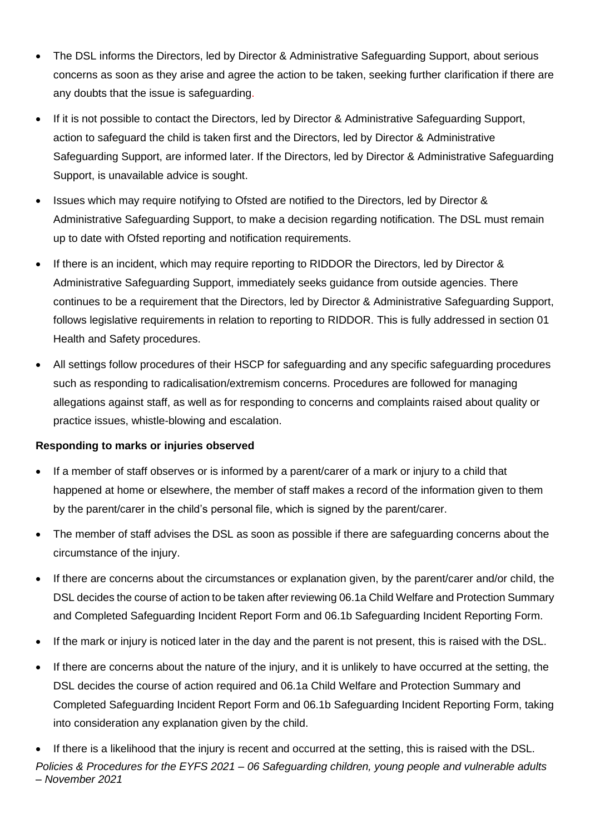- The DSL informs the Directors, led by Director & Administrative Safeguarding Support, about serious concerns as soon as they arise and agree the action to be taken, seeking further clarification if there are any doubts that the issue is safeguarding.
- If it is not possible to contact the Directors, led by Director & Administrative Safeguarding Support, action to safeguard the child is taken first and the Directors, led by Director & Administrative Safeguarding Support, are informed later. If the Directors, led by Director & Administrative Safeguarding Support, is unavailable advice is sought.
- Issues which may require notifying to Ofsted are notified to the Directors, led by Director & Administrative Safeguarding Support, to make a decision regarding notification. The DSL must remain up to date with Ofsted reporting and notification requirements.
- If there is an incident, which may require reporting to RIDDOR the Directors, led by Director & Administrative Safeguarding Support, immediately seeks guidance from outside agencies. There continues to be a requirement that the Directors, led by Director & Administrative Safeguarding Support, follows legislative requirements in relation to reporting to RIDDOR. This is fully addressed in section 01 Health and Safety procedures.
- All settings follow procedures of their HSCP for safeguarding and any specific safeguarding procedures such as responding to radicalisation/extremism concerns. Procedures are followed for managing allegations against staff, as well as for responding to concerns and complaints raised about quality or practice issues, whistle-blowing and escalation.

# **Responding to marks or injuries observed**

- If a member of staff observes or is informed by a parent/carer of a mark or injury to a child that happened at home or elsewhere, the member of staff makes a record of the information given to them by the parent/carer in the child's personal file, which is signed by the parent/carer.
- The member of staff advises the DSL as soon as possible if there are safeguarding concerns about the circumstance of the injury.
- If there are concerns about the circumstances or explanation given, by the parent/carer and/or child, the DSL decides the course of action to be taken after reviewing 06.1a Child Welfare and Protection Summary and Completed Safeguarding Incident Report Form and 06.1b Safeguarding Incident Reporting Form.
- If the mark or injury is noticed later in the day and the parent is not present, this is raised with the DSL.
- If there are concerns about the nature of the injury, and it is unlikely to have occurred at the setting, the DSL decides the course of action required and 06.1a Child Welfare and Protection Summary and Completed Safeguarding Incident Report Form and 06.1b Safeguarding Incident Reporting Form, taking into consideration any explanation given by the child.

*Policies & Procedures for the EYFS 2021 – 06 Safeguarding children, young people and vulnerable adults – November 2021* • If there is a likelihood that the injury is recent and occurred at the setting, this is raised with the DSL.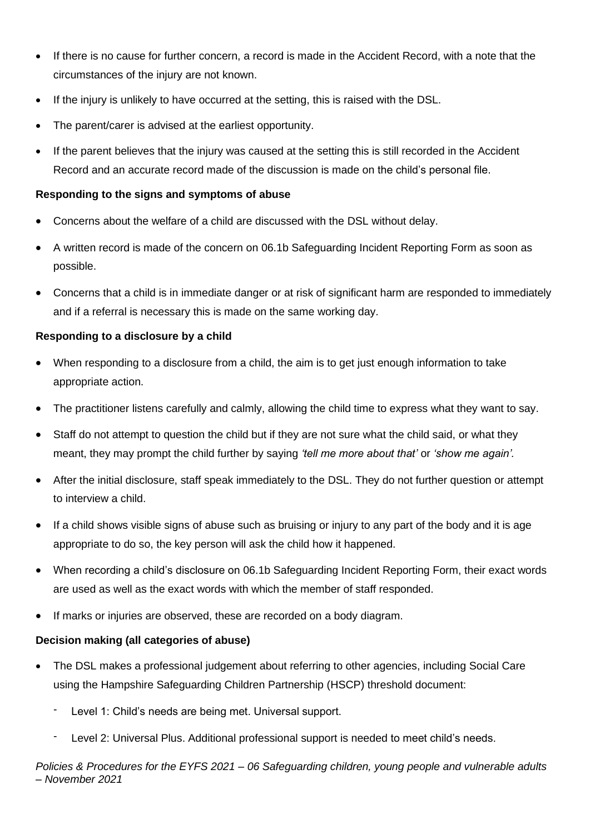- If there is no cause for further concern, a record is made in the Accident Record, with a note that the circumstances of the injury are not known.
- If the injury is unlikely to have occurred at the setting, this is raised with the DSL.
- The parent/carer is advised at the earliest opportunity.
- If the parent believes that the injury was caused at the setting this is still recorded in the Accident Record and an accurate record made of the discussion is made on the child's personal file.

# **Responding to the signs and symptoms of abuse**

- Concerns about the welfare of a child are discussed with the DSL without delay.
- A written record is made of the concern on 06.1b Safeguarding Incident Reporting Form as soon as possible.
- Concerns that a child is in immediate danger or at risk of significant harm are responded to immediately and if a referral is necessary this is made on the same working day.

### **Responding to a disclosure by a child**

- When responding to a disclosure from a child, the aim is to get just enough information to take appropriate action.
- The practitioner listens carefully and calmly, allowing the child time to express what they want to say.
- Staff do not attempt to question the child but if they are not sure what the child said, or what they meant, they may prompt the child further by saying *'tell me more about that'* or *'show me again'.*
- After the initial disclosure, staff speak immediately to the DSL. They do not further question or attempt to interview a child.
- If a child shows visible signs of abuse such as bruising or injury to any part of the body and it is age appropriate to do so, the key person will ask the child how it happened.
- When recording a child's disclosure on 06.1b Safeguarding Incident Reporting Form, their exact words are used as well as the exact words with which the member of staff responded.
- If marks or injuries are observed, these are recorded on a body diagram.

# **Decision making (all categories of abuse)**

- The DSL makes a professional judgement about referring to other agencies, including Social Care using the Hampshire Safeguarding Children Partnership (HSCP) threshold document:
	- Level 1: Child's needs are being met. Universal support.
	- Level 2: Universal Plus. Additional professional support is needed to meet child's needs.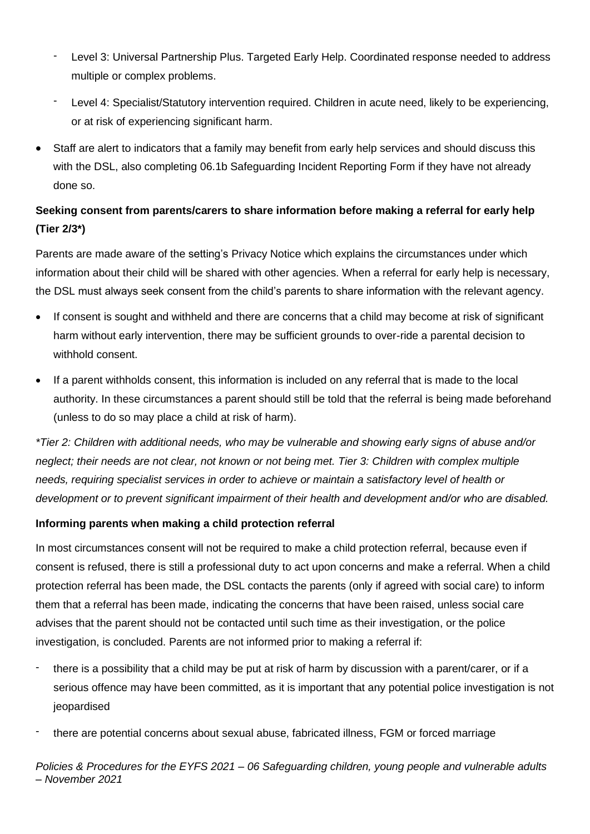- Level 3: Universal Partnership Plus. Targeted Early Help. Coordinated response needed to address multiple or complex problems.
- Level 4: Specialist/Statutory intervention required. Children in acute need, likely to be experiencing, or at risk of experiencing significant harm.
- Staff are alert to indicators that a family may benefit from early help services and should discuss this with the DSL, also completing 06.1b Safeguarding Incident Reporting Form if they have not already done so.

# **Seeking consent from parents/carers to share information before making a referral for early help (Tier 2/3\*)**

Parents are made aware of the setting's Privacy Notice which explains the circumstances under which information about their child will be shared with other agencies. When a referral for early help is necessary, the DSL must always seek consent from the child's parents to share information with the relevant agency.

- If consent is sought and withheld and there are concerns that a child may become at risk of significant harm without early intervention, there may be sufficient grounds to over-ride a parental decision to withhold consent.
- If a parent withholds consent, this information is included on any referral that is made to the local authority. In these circumstances a parent should still be told that the referral is being made beforehand (unless to do so may place a child at risk of harm).

*\*Tier 2: Children with additional needs, who may be vulnerable and showing early signs of abuse and/or neglect; their needs are not clear, not known or not being met. Tier 3: Children with complex multiple needs, requiring specialist services in order to achieve or maintain a satisfactory level of health or development or to prevent significant impairment of their health and development and/or who are disabled.*

# **Informing parents when making a child protection referral**

In most circumstances consent will not be required to make a child protection referral, because even if consent is refused, there is still a professional duty to act upon concerns and make a referral. When a child protection referral has been made, the DSL contacts the parents (only if agreed with social care) to inform them that a referral has been made, indicating the concerns that have been raised, unless social care advises that the parent should not be contacted until such time as their investigation, or the police investigation, is concluded. Parents are not informed prior to making a referral if:

- there is a possibility that a child may be put at risk of harm by discussion with a parent/carer, or if a serious offence may have been committed, as it is important that any potential police investigation is not jeopardised
- there are potential concerns about sexual abuse, fabricated illness, FGM or forced marriage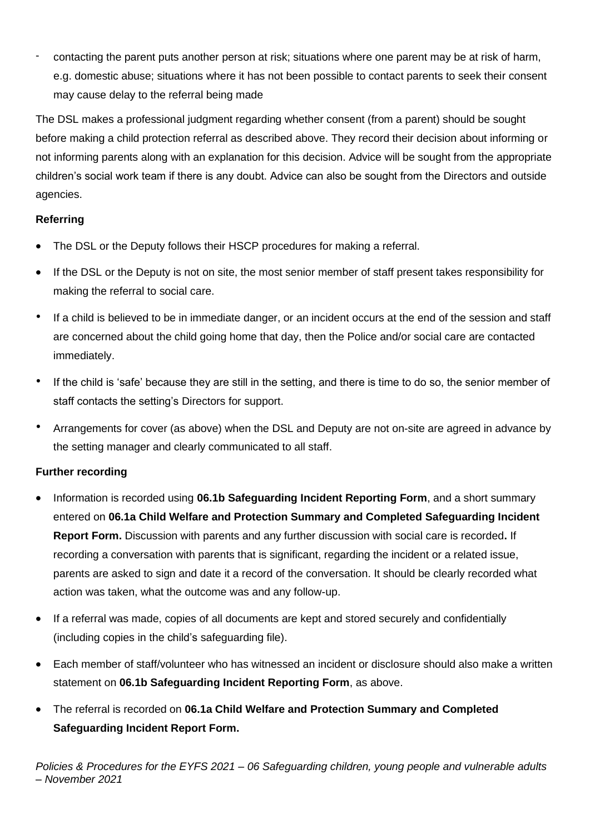contacting the parent puts another person at risk; situations where one parent may be at risk of harm, e.g. domestic abuse; situations where it has not been possible to contact parents to seek their consent may cause delay to the referral being made

The DSL makes a professional judgment regarding whether consent (from a parent) should be sought before making a child protection referral as described above. They record their decision about informing or not informing parents along with an explanation for this decision. Advice will be sought from the appropriate children's social work team if there is any doubt. Advice can also be sought from the Directors and outside agencies.

# **Referring**

- The DSL or the Deputy follows their HSCP procedures for making a referral.
- If the DSL or the Deputy is not on site, the most senior member of staff present takes responsibility for making the referral to social care.
- If a child is believed to be in immediate danger, or an incident occurs at the end of the session and staff are concerned about the child going home that day, then the Police and/or social care are contacted immediately.
- If the child is 'safe' because they are still in the setting, and there is time to do so, the senior member of staff contacts the setting's Directors for support.
- Arrangements for cover (as above) when the DSL and Deputy are not on-site are agreed in advance by the setting manager and clearly communicated to all staff.

# **Further recording**

- Information is recorded using **06.1b Safeguarding Incident Reporting Form**, and a short summary entered on **06.1a Child Welfare and Protection Summary and Completed Safeguarding Incident Report Form.** Discussion with parents and any further discussion with social care is recorded**.** If recording a conversation with parents that is significant, regarding the incident or a related issue, parents are asked to sign and date it a record of the conversation. It should be clearly recorded what action was taken, what the outcome was and any follow-up.
- If a referral was made, copies of all documents are kept and stored securely and confidentially (including copies in the child's safeguarding file).
- Each member of staff/volunteer who has witnessed an incident or disclosure should also make a written statement on **06.1b Safeguarding Incident Reporting Form**, as above.
- The referral is recorded on **06.1a Child Welfare and Protection Summary and Completed Safeguarding Incident Report Form.**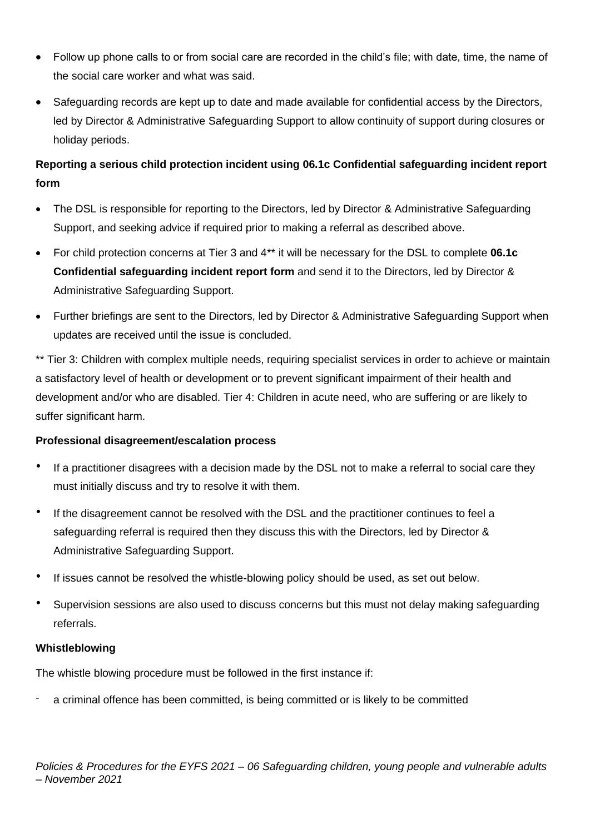- Follow up phone calls to or from social care are recorded in the child's file; with date, time, the name of the social care worker and what was said.
- Safeguarding records are kept up to date and made available for confidential access by the Directors, led by Director & Administrative Safeguarding Support to allow continuity of support during closures or holiday periods.

# **Reporting a serious child protection incident using 06.1c Confidential safeguarding incident report form**

- The DSL is responsible for reporting to the Directors, led by Director & Administrative Safeguarding Support, and seeking advice if required prior to making a referral as described above.
- For child protection concerns at Tier 3 and 4\*\* it will be necessary for the DSL to complete **06.1c Confidential safeguarding incident report form** and send it to the Directors, led by Director & Administrative Safeguarding Support.
- Further briefings are sent to the Directors, led by Director & Administrative Safeguarding Support when updates are received until the issue is concluded.

\*\* Tier 3: Children with complex multiple needs, requiring specialist services in order to achieve or maintain a satisfactory level of health or development or to prevent significant impairment of their health and development and/or who are disabled. Tier 4: Children in acute need, who are suffering or are likely to suffer significant harm.

# **Professional disagreement/escalation process**

- If a practitioner disagrees with a decision made by the DSL not to make a referral to social care they must initially discuss and try to resolve it with them.
- If the disagreement cannot be resolved with the DSL and the practitioner continues to feel a safeguarding referral is required then they discuss this with the Directors, led by Director & Administrative Safeguarding Support.
- If issues cannot be resolved the whistle-blowing policy should be used, as set out below.
- Supervision sessions are also used to discuss concerns but this must not delay making safeguarding referrals.

# **Whistleblowing**

The whistle blowing procedure must be followed in the first instance if:

a criminal offence has been committed, is being committed or is likely to be committed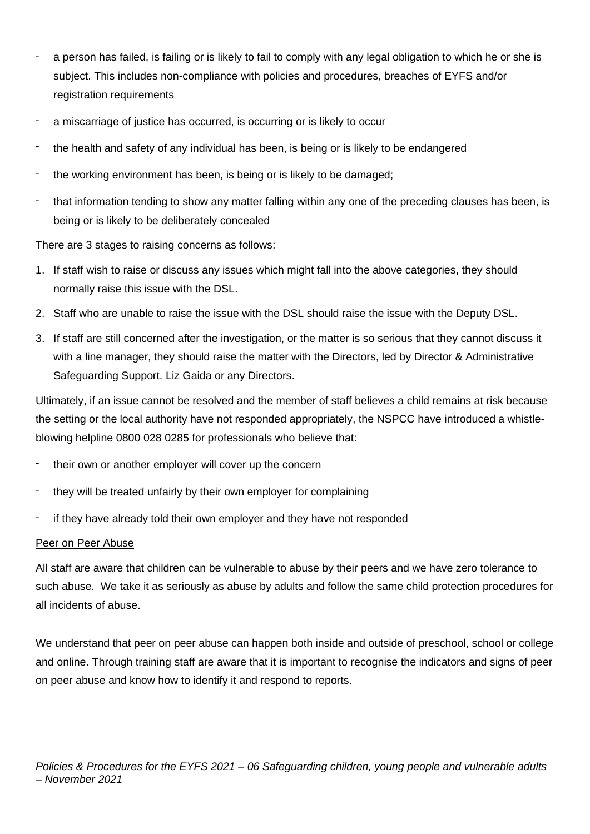- a person has failed, is failing or is likely to fail to comply with any legal obligation to which he or she is subject. This includes non-compliance with policies and procedures, breaches of EYFS and/or registration requirements
- a miscarriage of justice has occurred, is occurring or is likely to occur
- the health and safety of any individual has been, is being or is likely to be endangered
- the working environment has been, is being or is likely to be damaged;
- that information tending to show any matter falling within any one of the preceding clauses has been, is being or is likely to be deliberately concealed

There are 3 stages to raising concerns as follows:

- 1. If staff wish to raise or discuss any issues which might fall into the above categories, they should normally raise this issue with the DSL.
- 2. Staff who are unable to raise the issue with the DSL should raise the issue with the Deputy DSL.
- 3. If staff are still concerned after the investigation, or the matter is so serious that they cannot discuss it with a line manager, they should raise the matter with the Directors, led by Director & Administrative Safeguarding Support. Liz Gaida or any Directors.

Ultimately, if an issue cannot be resolved and the member of staff believes a child remains at risk because the setting or the local authority have not responded appropriately, the NSPCC have introduced a whistleblowing helpline 0800 028 0285 for professionals who believe that:

- their own or another employer will cover up the concern
- they will be treated unfairly by their own employer for complaining
- if they have already told their own employer and they have not responded

# Peer on Peer Abuse

All staff are aware that children can be vulnerable to abuse by their peers and we have zero tolerance to such abuse. We take it as seriously as abuse by adults and follow the same child protection procedures for all incidents of abuse.

We understand that peer on peer abuse can happen both inside and outside of preschool, school or college and online. Through training staff are aware that it is important to recognise the indicators and signs of peer on peer abuse and know how to identify it and respond to reports.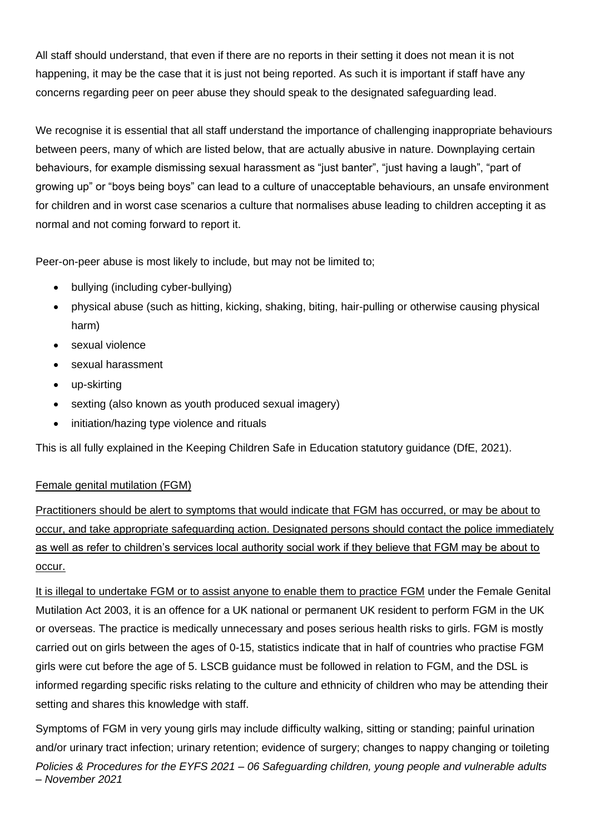All staff should understand, that even if there are no reports in their setting it does not mean it is not happening, it may be the case that it is just not being reported. As such it is important if staff have any concerns regarding peer on peer abuse they should speak to the designated safeguarding lead.

We recognise it is essential that all staff understand the importance of challenging inappropriate behaviours between peers, many of which are listed below, that are actually abusive in nature. Downplaying certain behaviours, for example dismissing sexual harassment as "just banter", "just having a laugh", "part of growing up" or "boys being boys" can lead to a culture of unacceptable behaviours, an unsafe environment for children and in worst case scenarios a culture that normalises abuse leading to children accepting it as normal and not coming forward to report it.

Peer-on-peer abuse is most likely to include, but may not be limited to;

- bullying (including cyber-bullying)
- physical abuse (such as hitting, kicking, shaking, biting, hair-pulling or otherwise causing physical harm)
- sexual violence
- sexual harassment
- up-skirting
- sexting (also known as youth produced sexual imagery)
- initiation/hazing type violence and rituals

This is all fully explained in the Keeping Children Safe in Education statutory guidance (DfE, 2021).

# Female genital mutilation (FGM)

Practitioners should be alert to symptoms that would indicate that FGM has occurred, or may be about to occur, and take appropriate safeguarding action. Designated persons should contact the police immediately as well as refer to children's services local authority social work if they believe that FGM may be about to occur.

It is illegal to undertake FGM or to assist anyone to enable them to practice FGM under the Female Genital Mutilation Act 2003, it is an offence for a UK national or permanent UK resident to perform FGM in the UK or overseas. The practice is medically unnecessary and poses serious health risks to girls. FGM is mostly carried out on girls between the ages of 0-15, statistics indicate that in half of countries who practise FGM girls were cut before the age of 5. LSCB guidance must be followed in relation to FGM, and the DSL is informed regarding specific risks relating to the culture and ethnicity of children who may be attending their setting and shares this knowledge with staff.

*Policies & Procedures for the EYFS 2021 – 06 Safeguarding children, young people and vulnerable adults – November 2021* Symptoms of FGM in very young girls may include difficulty walking, sitting or standing; painful urination and/or urinary tract infection; urinary retention; evidence of surgery; changes to nappy changing or toileting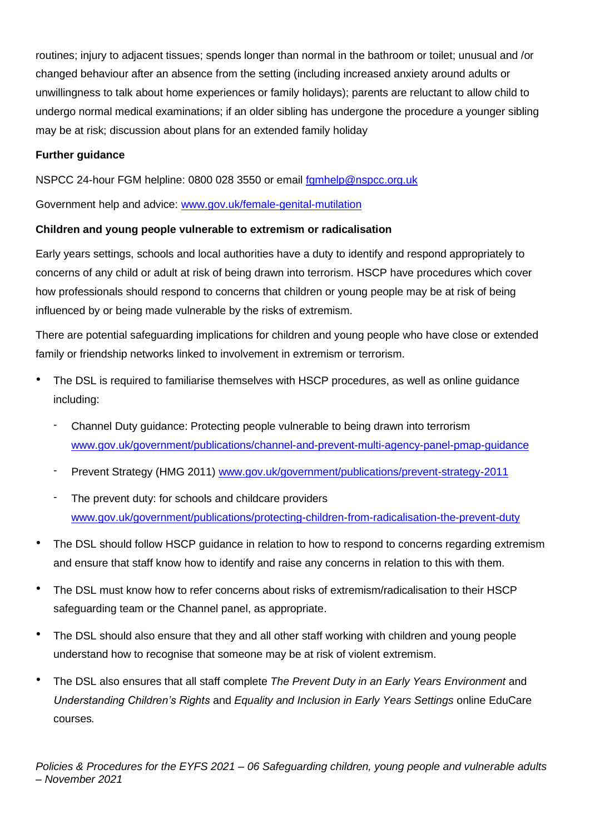routines; injury to adjacent tissues; spends longer than normal in the bathroom or toilet; unusual and /or changed behaviour after an absence from the setting (including increased anxiety around adults or unwillingness to talk about home experiences or family holidays); parents are reluctant to allow child to undergo normal medical examinations; if an older sibling has undergone the procedure a younger sibling may be at risk; discussion about plans for an extended family holiday

# **Further guidance**

NSPCC 24-hour FGM helpline: 0800 028 3550 or email [fgmhelp@nspcc.org.uk](mailto:fgmhelp@nspcc.org.uk)

Government help and advice: [www.gov.uk/female-genital-mutilation](http://www.gov.uk/female-genital-mutilation)

# **Children and young people vulnerable to extremism or radicalisation**

Early years settings, schools and local authorities have a duty to identify and respond appropriately to concerns of any child or adult at risk of being drawn into terrorism. HSCP have procedures which cover how professionals should respond to concerns that children or young people may be at risk of being influenced by or being made vulnerable by the risks of extremism.

There are potential safeguarding implications for children and young people who have close or extended family or friendship networks linked to involvement in extremism or terrorism.

- The DSL is required to familiarise themselves with HSCP procedures, as well as online guidance including:
	- Channel Duty guidance: Protecting people vulnerable to being drawn into terrorism [www.gov.uk/government/publications/channel-and-prevent-multi-agency-panel-pmap-guidance](http://www.gov.uk/government/publications/channel-and-prevent-multi-agency-panel-pmap-guidance)
	- Prevent Strategy (HMG 2011) [www.gov.uk/government/publications/prevent-strategy-2011](http://www.gov.uk/government/publications/prevent-strategy-2011)
	- The prevent duty: for schools and childcare providers [www.gov.uk/government/publications/protecting-children-from-radicalisation-the-prevent-duty](http://www.gov.uk/government/publications/protecting-children-from-radicalisation-the-prevent-duty)
- The DSL should follow HSCP guidance in relation to how to respond to concerns regarding extremism and ensure that staff know how to identify and raise any concerns in relation to this with them.
- The DSL must know how to refer concerns about risks of extremism/radicalisation to their HSCP safeguarding team or the Channel panel, as appropriate.
- The DSL should also ensure that they and all other staff working with children and young people understand how to recognise that someone may be at risk of violent extremism.
- The DSL also ensures that all staff complete *The Prevent Duty in an Early Years Environment* and *Understanding Children's Rights* and *Equality and Inclusion in Early Years Settings* online EduCare courses*.*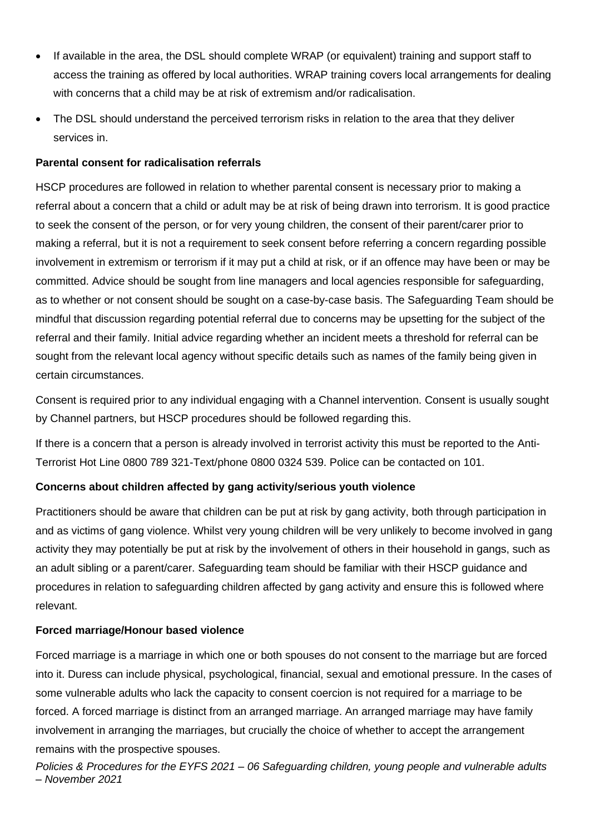- If available in the area, the DSL should complete WRAP (or equivalent) training and support staff to access the training as offered by local authorities. WRAP training covers local arrangements for dealing with concerns that a child may be at risk of extremism and/or radicalisation.
- The DSL should understand the perceived terrorism risks in relation to the area that they deliver services in.

# **Parental consent for radicalisation referrals**

HSCP procedures are followed in relation to whether parental consent is necessary prior to making a referral about a concern that a child or adult may be at risk of being drawn into terrorism. It is good practice to seek the consent of the person, or for very young children, the consent of their parent/carer prior to making a referral, but it is not a requirement to seek consent before referring a concern regarding possible involvement in extremism or terrorism if it may put a child at risk, or if an offence may have been or may be committed. Advice should be sought from line managers and local agencies responsible for safeguarding, as to whether or not consent should be sought on a case-by-case basis. The Safeguarding Team should be mindful that discussion regarding potential referral due to concerns may be upsetting for the subject of the referral and their family. Initial advice regarding whether an incident meets a threshold for referral can be sought from the relevant local agency without specific details such as names of the family being given in certain circumstances.

Consent is required prior to any individual engaging with a Channel intervention. Consent is usually sought by Channel partners, but HSCP procedures should be followed regarding this.

If there is a concern that a person is already involved in terrorist activity this must be reported to the Anti-Terrorist Hot Line 0800 789 321-Text/phone 0800 0324 539. Police can be contacted on 101.

# **Concerns about children affected by gang activity/serious youth violence**

Practitioners should be aware that children can be put at risk by gang activity, both through participation in and as victims of gang violence. Whilst very young children will be very unlikely to become involved in gang activity they may potentially be put at risk by the involvement of others in their household in gangs, such as an adult sibling or a parent/carer. Safeguarding team should be familiar with their HSCP guidance and procedures in relation to safeguarding children affected by gang activity and ensure this is followed where relevant.

### **Forced marriage/Honour based violence**

Forced marriage is a marriage in which one or both spouses do not consent to the marriage but are forced into it. Duress can include physical, psychological, financial, sexual and emotional pressure. In the cases of some vulnerable adults who lack the capacity to consent coercion is not required for a marriage to be forced. A forced marriage is distinct from an arranged marriage. An arranged marriage may have family involvement in arranging the marriages, but crucially the choice of whether to accept the arrangement remains with the prospective spouses.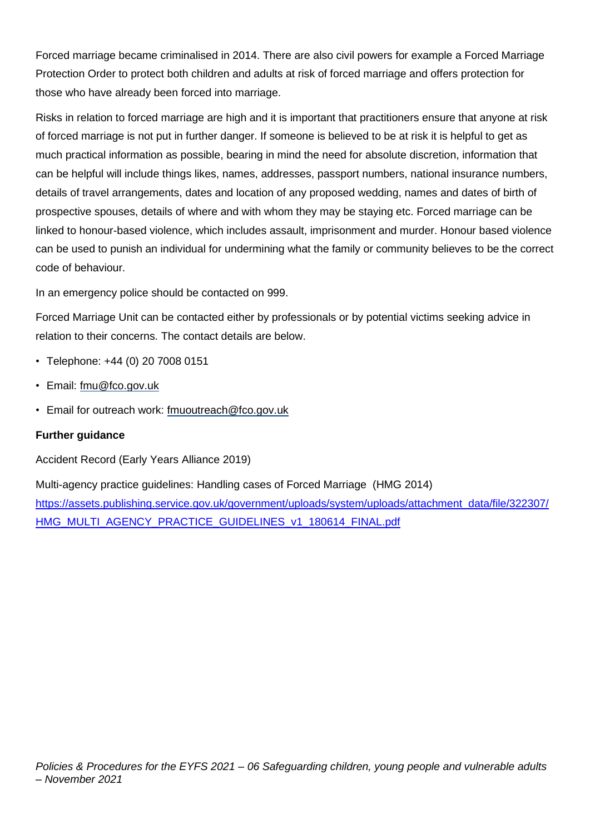Forced marriage became criminalised in 2014. There are also civil powers for example a Forced Marriage Protection Order to protect both children and adults at risk of forced marriage and offers protection for those who have already been forced into marriage.

Risks in relation to forced marriage are high and it is important that practitioners ensure that anyone at risk of forced marriage is not put in further danger. If someone is believed to be at risk it is helpful to get as much practical information as possible, bearing in mind the need for absolute discretion, information that can be helpful will include things likes, names, addresses, passport numbers, national insurance numbers, details of travel arrangements, dates and location of any proposed wedding, names and dates of birth of prospective spouses, details of where and with whom they may be staying etc. Forced marriage can be linked to honour-based violence, which includes assault, imprisonment and murder. Honour based violence can be used to punish an individual for undermining what the family or community believes to be the correct code of behaviour.

In an emergency police should be contacted on 999.

Forced Marriage Unit can be contacted either by professionals or by potential victims seeking advice in relation to their concerns. The contact details are below.

- Telephone: +44 (0) 20 7008 0151
- Email: [fmu@fco.gov.uk](mailto:fmu@fco.gov.uk)
- Email for outreach work: [fmuoutreach@fco.gov.uk](mailto:fmuoutreach@fco.gov.uk)

### **Further guidance**

Accident Record (Early Years Alliance 2019)

Multi-agency practice guidelines: Handling cases of Forced Marriage (HMG 2014) [https://assets.publishing.service.gov.uk/government/uploads/system/uploads/attachment\\_data/file/322307/](https://assets.publishing.service.gov.uk/government/uploads/system/uploads/attachment_data/file/322307/HMG_MULTI_AGENCY_PRACTICE_GUIDELINES_v1_180614_FINAL.pdf) [HMG\\_MULTI\\_AGENCY\\_PRACTICE\\_GUIDELINES\\_v1\\_180614\\_FINAL.pdf](https://assets.publishing.service.gov.uk/government/uploads/system/uploads/attachment_data/file/322307/HMG_MULTI_AGENCY_PRACTICE_GUIDELINES_v1_180614_FINAL.pdf)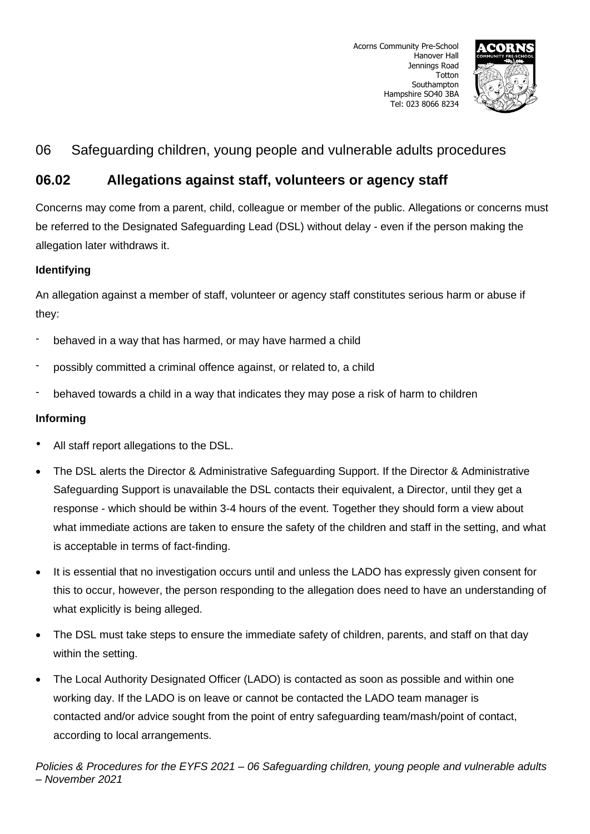

# **06.02 Allegations against staff, volunteers or agency staff**

Concerns may come from a parent, child, colleague or member of the public. Allegations or concerns must be referred to the Designated Safeguarding Lead (DSL) without delay - even if the person making the allegation later withdraws it.

# **Identifying**

An allegation against a member of staff, volunteer or agency staff constitutes serious harm or abuse if they:

- behaved in a way that has harmed, or may have harmed a child
- possibly committed a criminal offence against, or related to, a child
- behaved towards a child in a way that indicates they may pose a risk of harm to children

# **Informing**

- All staff report allegations to the DSL.
- The DSL alerts the Director & Administrative Safeguarding Support. If the Director & Administrative Safeguarding Support is unavailable the DSL contacts their equivalent, a Director, until they get a response - which should be within 3-4 hours of the event. Together they should form a view about what immediate actions are taken to ensure the safety of the children and staff in the setting, and what is acceptable in terms of fact-finding.
- It is essential that no investigation occurs until and unless the LADO has expressly given consent for this to occur, however, the person responding to the allegation does need to have an understanding of what explicitly is being alleged.
- The DSL must take steps to ensure the immediate safety of children, parents, and staff on that day within the setting.
- The Local Authority Designated Officer (LADO) is contacted as soon as possible and within one working day. If the LADO is on leave or cannot be contacted the LADO team manager is contacted and/or advice sought from the point of entry safeguarding team/mash/point of contact, according to local arrangements.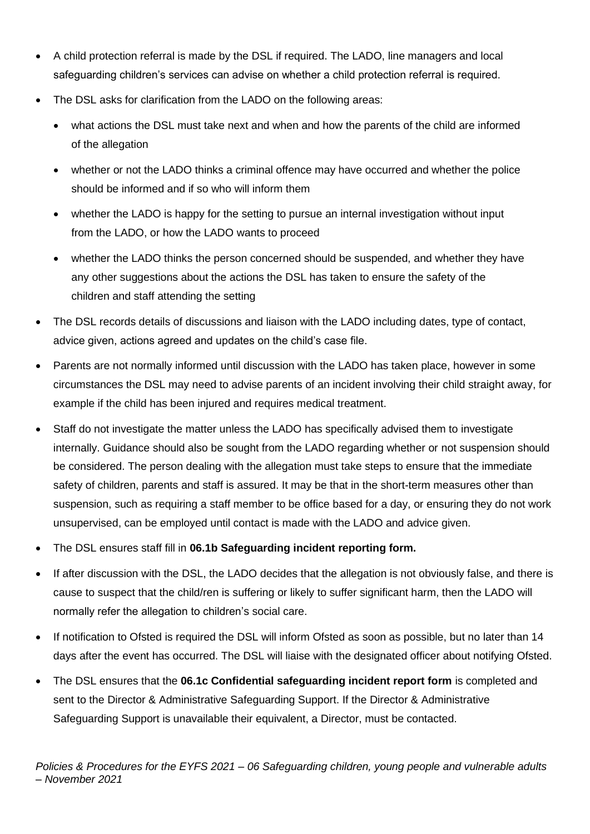- A child protection referral is made by the DSL if required. The LADO, line managers and local safeguarding children's services can advise on whether a child protection referral is required.
- The DSL asks for clarification from the LADO on the following areas:
	- what actions the DSL must take next and when and how the parents of the child are informed of the allegation
	- whether or not the LADO thinks a criminal offence may have occurred and whether the police should be informed and if so who will inform them
	- whether the LADO is happy for the setting to pursue an internal investigation without input from the LADO, or how the LADO wants to proceed
	- whether the LADO thinks the person concerned should be suspended, and whether they have any other suggestions about the actions the DSL has taken to ensure the safety of the children and staff attending the setting
- The DSL records details of discussions and liaison with the LADO including dates, type of contact, advice given, actions agreed and updates on the child's case file.
- Parents are not normally informed until discussion with the LADO has taken place, however in some circumstances the DSL may need to advise parents of an incident involving their child straight away, for example if the child has been injured and requires medical treatment.
- Staff do not investigate the matter unless the LADO has specifically advised them to investigate internally. Guidance should also be sought from the LADO regarding whether or not suspension should be considered. The person dealing with the allegation must take steps to ensure that the immediate safety of children, parents and staff is assured. It may be that in the short-term measures other than suspension, such as requiring a staff member to be office based for a day, or ensuring they do not work unsupervised, can be employed until contact is made with the LADO and advice given.
- The DSL ensures staff fill in **06.1b Safeguarding incident reporting form.**
- If after discussion with the DSL, the LADO decides that the allegation is not obviously false, and there is cause to suspect that the child/ren is suffering or likely to suffer significant harm, then the LADO will normally refer the allegation to children's social care.
- If notification to Ofsted is required the DSL will inform Ofsted as soon as possible, but no later than 14 days after the event has occurred. The DSL will liaise with the designated officer about notifying Ofsted.
- The DSL ensures that the **06.1c Confidential safeguarding incident report form** is completed and sent to the Director & Administrative Safeguarding Support. If the Director & Administrative Safeguarding Support is unavailable their equivalent, a Director, must be contacted.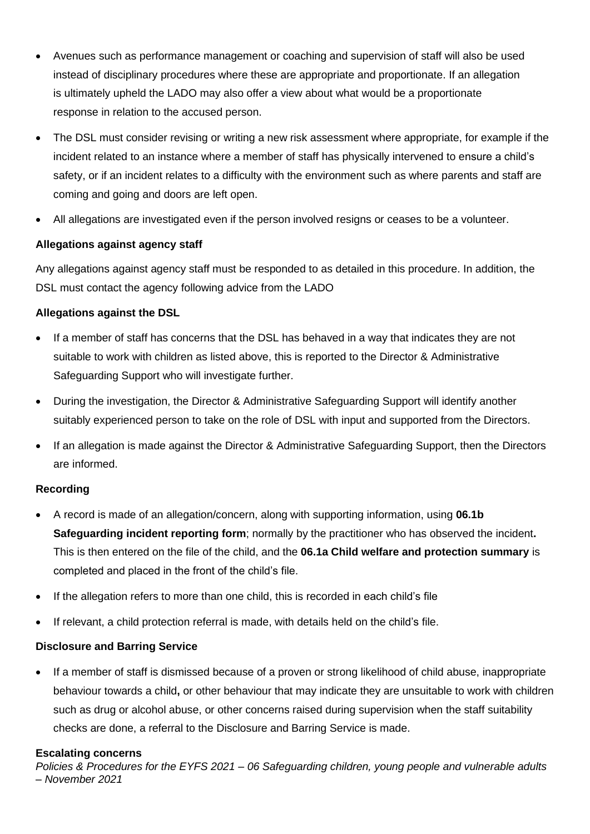- Avenues such as performance management or coaching and supervision of staff will also be used instead of disciplinary procedures where these are appropriate and proportionate. If an allegation is ultimately upheld the LADO may also offer a view about what would be a proportionate response in relation to the accused person.
- The DSL must consider revising or writing a new risk assessment where appropriate, for example if the incident related to an instance where a member of staff has physically intervened to ensure a child's safety, or if an incident relates to a difficulty with the environment such as where parents and staff are coming and going and doors are left open.
- All allegations are investigated even if the person involved resigns or ceases to be a volunteer.

# **Allegations against agency staff**

Any allegations against agency staff must be responded to as detailed in this procedure. In addition, the DSL must contact the agency following advice from the LADO

# **Allegations against the DSL**

- If a member of staff has concerns that the DSL has behaved in a way that indicates they are not suitable to work with children as listed above, this is reported to the Director & Administrative Safeguarding Support who will investigate further.
- During the investigation, the Director & Administrative Safeguarding Support will identify another suitably experienced person to take on the role of DSL with input and supported from the Directors.
- If an allegation is made against the Director & Administrative Safeguarding Support, then the Directors are informed.

# **Recording**

- A record is made of an allegation/concern, along with supporting information, using **06.1b Safeguarding incident reporting form**; normally by the practitioner who has observed the incident**.** This is then entered on the file of the child, and the **06.1a Child welfare and protection summary** is completed and placed in the front of the child's file.
- If the allegation refers to more than one child, this is recorded in each child's file
- If relevant, a child protection referral is made, with details held on the child's file.

# **Disclosure and Barring Service**

• If a member of staff is dismissed because of a proven or strong likelihood of child abuse, inappropriate behaviour towards a child**,** or other behaviour that may indicate they are unsuitable to work with children such as drug or alcohol abuse, or other concerns raised during supervision when the staff suitability checks are done, a referral to the Disclosure and Barring Service is made.

# **Escalating concerns**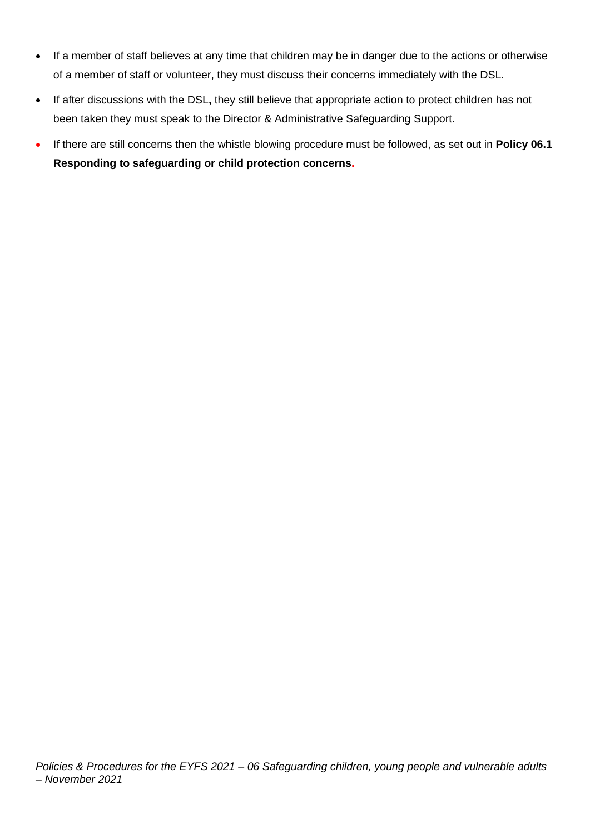- If a member of staff believes at any time that children may be in danger due to the actions or otherwise of a member of staff or volunteer, they must discuss their concerns immediately with the DSL.
- If after discussions with the DSL**,** they still believe that appropriate action to protect children has not been taken they must speak to the Director & Administrative Safeguarding Support.
- If there are still concerns then the whistle blowing procedure must be followed, as set out in **Policy 06.1 Responding to safeguarding or child protection concerns.**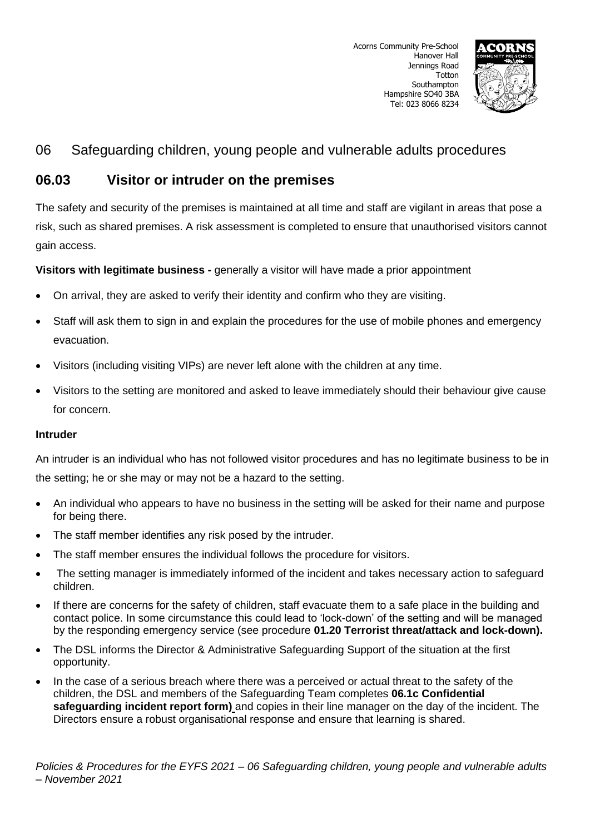

# **06.03 Visitor or intruder on the premises**

The safety and security of the premises is maintained at all time and staff are vigilant in areas that pose a risk, such as shared premises. A risk assessment is completed to ensure that unauthorised visitors cannot gain access.

**Visitors with legitimate business -** generally a visitor will have made a prior appointment

- On arrival, they are asked to verify their identity and confirm who they are visiting.
- Staff will ask them to sign in and explain the procedures for the use of mobile phones and emergency evacuation.
- Visitors (including visiting VIPs) are never left alone with the children at any time.
- Visitors to the setting are monitored and asked to leave immediately should their behaviour give cause for concern.

### **Intruder**

An intruder is an individual who has not followed visitor procedures and has no legitimate business to be in the setting; he or she may or may not be a hazard to the setting.

- An individual who appears to have no business in the setting will be asked for their name and purpose for being there.
- The staff member identifies any risk posed by the intruder.
- The staff member ensures the individual follows the procedure for visitors.
- The setting manager is immediately informed of the incident and takes necessary action to safeguard children.
- If there are concerns for the safety of children, staff evacuate them to a safe place in the building and contact police. In some circumstance this could lead to 'lock-down' of the setting and will be managed by the responding emergency service (see procedure **01.20 Terrorist threat/attack and lock-down).**
- The DSL informs the Director & Administrative Safeguarding Support of the situation at the first opportunity.
- In the case of a serious breach where there was a perceived or actual threat to the safety of the children, the DSL and members of the Safeguarding Team completes **06.1c Confidential safeguarding incident report form)** and copies in their line manager on the day of the incident. The Directors ensure a robust organisational response and ensure that learning is shared.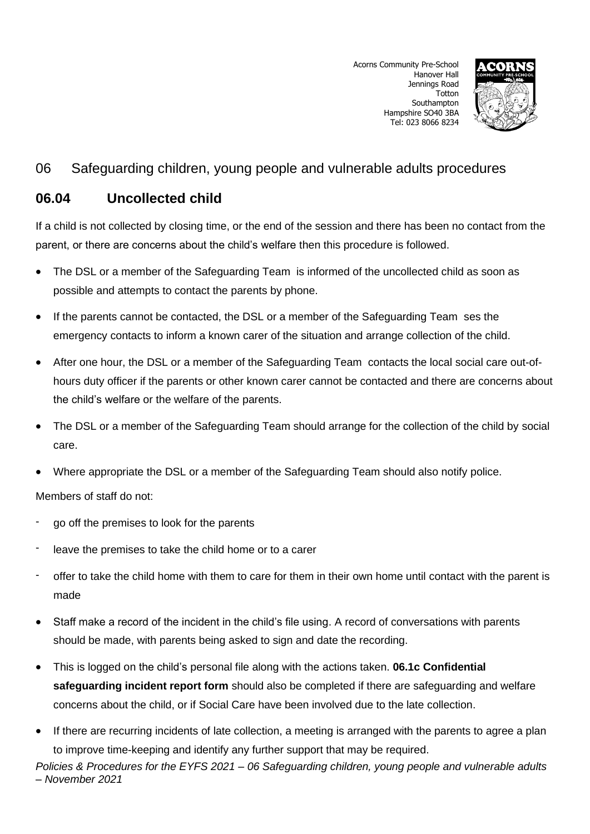

# **06.04 Uncollected child**

If a child is not collected by closing time, or the end of the session and there has been no contact from the parent, or there are concerns about the child's welfare then this procedure is followed.

- The DSL or a member of the Safeguarding Team is informed of the uncollected child as soon as possible and attempts to contact the parents by phone.
- If the parents cannot be contacted, the DSL or a member of the Safeguarding Team ses the emergency contacts to inform a known carer of the situation and arrange collection of the child.
- After one hour, the DSL or a member of the Safeguarding Team contacts the local social care out-ofhours duty officer if the parents or other known carer cannot be contacted and there are concerns about the child's welfare or the welfare of the parents.
- The DSL or a member of the Safeguarding Team should arrange for the collection of the child by social care.
- Where appropriate the DSL or a member of the Safeguarding Team should also notify police.

Members of staff do not:

- go off the premises to look for the parents
- leave the premises to take the child home or to a carer
- offer to take the child home with them to care for them in their own home until contact with the parent is made
- Staff make a record of the incident in the child's file using. A record of conversations with parents should be made, with parents being asked to sign and date the recording.
- This is logged on the child's personal file along with the actions taken. **06.1c Confidential safeguarding incident report form** should also be completed if there are safeguarding and welfare concerns about the child, or if Social Care have been involved due to the late collection.
- If there are recurring incidents of late collection, a meeting is arranged with the parents to agree a plan to improve time-keeping and identify any further support that may be required.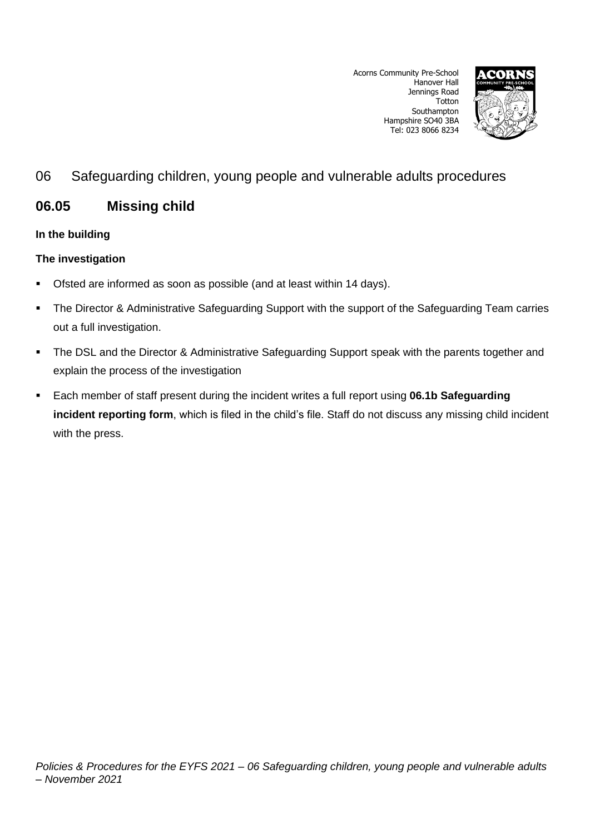Acorns Community Pre-School Hanover Hall Jennings Road Totton Southampton Hampshire SO40 3BA Tel: 023 8066 8234



# 06 Safeguarding children, young people and vulnerable adults procedures

# **06.05 Missing child**

# **In the building**

# **The investigation**

- Ofsted are informed as soon as possible (and at least within 14 days).
- The Director & Administrative Safeguarding Support with the support of the Safeguarding Team carries out a full investigation.
- **The DSL and the Director & Administrative Safeguarding Support speak with the parents together and** explain the process of the investigation
- Each member of staff present during the incident writes a full report using **06.1b Safeguarding incident reporting form**, which is filed in the child's file. Staff do not discuss any missing child incident with the press.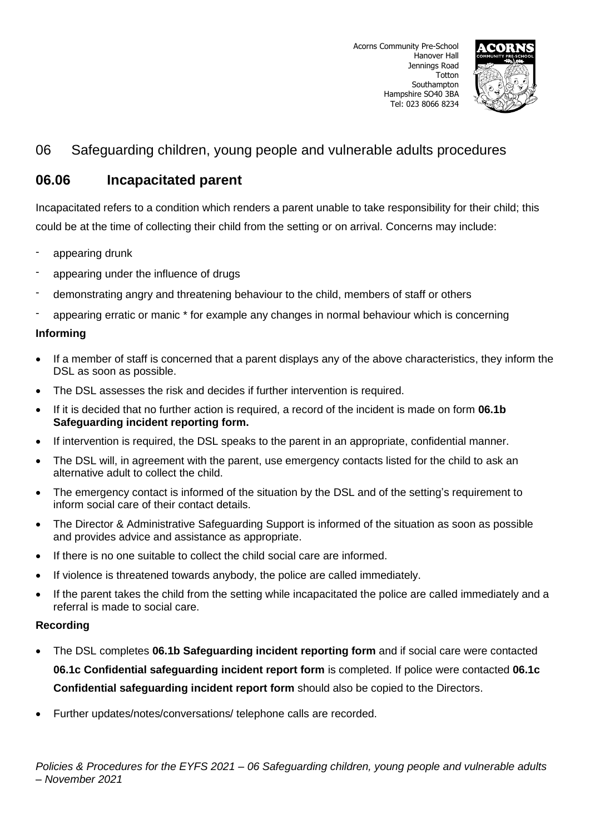

# **06.06 Incapacitated parent**

Incapacitated refers to a condition which renders a parent unable to take responsibility for their child; this could be at the time of collecting their child from the setting or on arrival. Concerns may include:

- appearing drunk
- appearing under the influence of drugs
- demonstrating angry and threatening behaviour to the child, members of staff or others
- appearing erratic or manic \* for example any changes in normal behaviour which is concerning

### **Informing**

- If a member of staff is concerned that a parent displays any of the above characteristics, they inform the DSL as soon as possible.
- The DSL assesses the risk and decides if further intervention is required.
- If it is decided that no further action is required, a record of the incident is made on form **06.1b Safeguarding incident reporting form.**
- If intervention is required, the DSL speaks to the parent in an appropriate, confidential manner.
- The DSL will, in agreement with the parent, use emergency contacts listed for the child to ask an alternative adult to collect the child.
- The emergency contact is informed of the situation by the DSL and of the setting's requirement to inform social care of their contact details.
- The Director & Administrative Safeguarding Support is informed of the situation as soon as possible and provides advice and assistance as appropriate.
- If there is no one suitable to collect the child social care are informed.
- If violence is threatened towards anybody, the police are called immediately.
- If the parent takes the child from the setting while incapacitated the police are called immediately and a referral is made to social care.

# **Recording**

- The DSL completes **06.1b Safeguarding incident reporting form** and if social care were contacted **06.1c Confidential safeguarding incident report form** is completed. If police were contacted **06.1c Confidential safeguarding incident report form** should also be copied to the Directors.
- Further updates/notes/conversations/ telephone calls are recorded.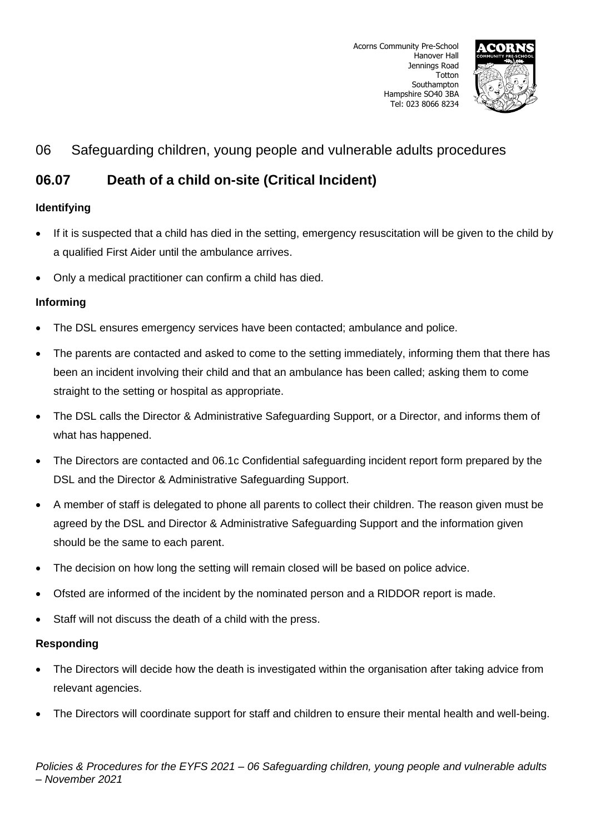

# **06.07 Death of a child on-site (Critical Incident)**

# **Identifying**

- If it is suspected that a child has died in the setting, emergency resuscitation will be given to the child by a qualified First Aider until the ambulance arrives.
- Only a medical practitioner can confirm a child has died.

# **Informing**

- The DSL ensures emergency services have been contacted; ambulance and police.
- The parents are contacted and asked to come to the setting immediately, informing them that there has been an incident involving their child and that an ambulance has been called; asking them to come straight to the setting or hospital as appropriate.
- The DSL calls the Director & Administrative Safeguarding Support, or a Director, and informs them of what has happened.
- The Directors are contacted and 06.1c Confidential safeguarding incident report form prepared by the DSL and the Director & Administrative Safeguarding Support.
- A member of staff is delegated to phone all parents to collect their children. The reason given must be agreed by the DSL and Director & Administrative Safeguarding Support and the information given should be the same to each parent.
- The decision on how long the setting will remain closed will be based on police advice.
- Ofsted are informed of the incident by the nominated person and a RIDDOR report is made.
- Staff will not discuss the death of a child with the press.

# **Responding**

- The Directors will decide how the death is investigated within the organisation after taking advice from relevant agencies.
- The Directors will coordinate support for staff and children to ensure their mental health and well-being.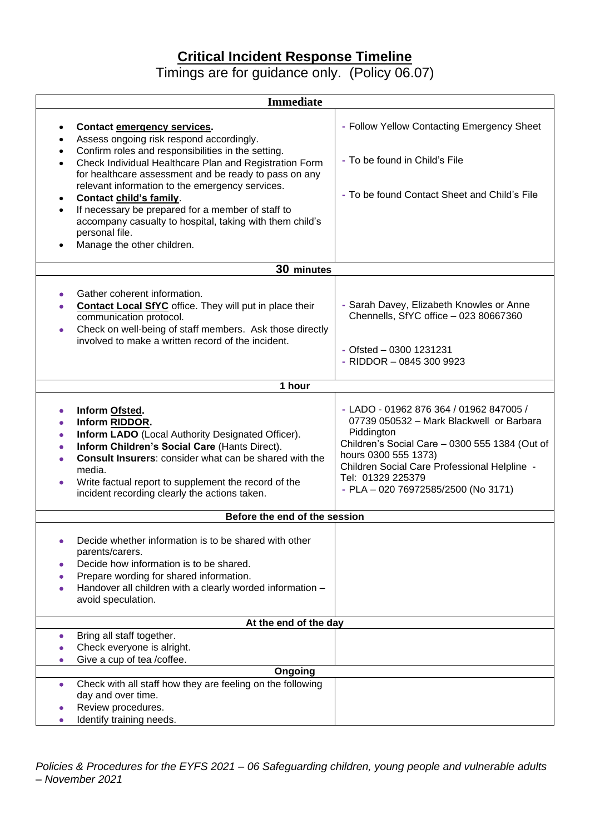# **Critical Incident Response Timeline**

Timings are for guidance only. (Policy 06.07)

| <b>Immediate</b>                                                                                                                                                                                                                                                                                                                                                                                                                                                                                                                                                                  |                                                                                                                                                                                                                                                                                         |
|-----------------------------------------------------------------------------------------------------------------------------------------------------------------------------------------------------------------------------------------------------------------------------------------------------------------------------------------------------------------------------------------------------------------------------------------------------------------------------------------------------------------------------------------------------------------------------------|-----------------------------------------------------------------------------------------------------------------------------------------------------------------------------------------------------------------------------------------------------------------------------------------|
| <b>Contact emergency services.</b><br>٠<br>Assess ongoing risk respond accordingly.<br>٠<br>Confirm roles and responsibilities in the setting.<br>$\bullet$<br>Check Individual Healthcare Plan and Registration Form<br>$\bullet$<br>for healthcare assessment and be ready to pass on any<br>relevant information to the emergency services.<br>Contact child's family.<br>$\bullet$<br>If necessary be prepared for a member of staff to<br>$\bullet$<br>accompany casualty to hospital, taking with them child's<br>personal file.<br>Manage the other children.<br>$\bullet$ | - Follow Yellow Contacting Emergency Sheet<br>- To be found in Child's File<br>- To be found Contact Sheet and Child's File                                                                                                                                                             |
| 30 minutes                                                                                                                                                                                                                                                                                                                                                                                                                                                                                                                                                                        |                                                                                                                                                                                                                                                                                         |
| Gather coherent information.<br>٠<br>Contact Local SfYC office. They will put in place their<br>communication protocol.<br>Check on well-being of staff members. Ask those directly<br>۰<br>involved to make a written record of the incident.                                                                                                                                                                                                                                                                                                                                    | - Sarah Davey, Elizabeth Knowles or Anne<br>Chennells, SfYC office - 023 80667360<br>- Ofsted $-$ 0300 1231231<br>- RIDDOR $-08453009923$                                                                                                                                               |
| 1 hour                                                                                                                                                                                                                                                                                                                                                                                                                                                                                                                                                                            |                                                                                                                                                                                                                                                                                         |
| Inform Ofsted.<br>۰<br>Inform RIDDOR.<br>٠<br><b>Inform LADO</b> (Local Authority Designated Officer).<br>۰<br>Inform Children's Social Care (Hants Direct).<br>۰<br><b>Consult Insurers: consider what can be shared with the</b><br>media.<br>Write factual report to supplement the record of the<br>۰<br>incident recording clearly the actions taken.                                                                                                                                                                                                                        | - LADO - 01962 876 364 / 01962 847005 /<br>07739 050532 - Mark Blackwell or Barbara<br>Piddington<br>Children's Social Care - 0300 555 1384 (Out of<br>hours 0300 555 1373)<br>Children Social Care Professional Helpline -<br>Tel: 01329 225379<br>- PLA - 020 76972585/2500 (No 3171) |
| Before the end of the session                                                                                                                                                                                                                                                                                                                                                                                                                                                                                                                                                     |                                                                                                                                                                                                                                                                                         |
| Decide whether information is to be shared with other<br>٠<br>parents/carers.<br>Decide how information is to be shared.<br>Prepare wording for shared information.<br>Handover all children with a clearly worded information -<br>avoid speculation.                                                                                                                                                                                                                                                                                                                            |                                                                                                                                                                                                                                                                                         |
| At the end of the day                                                                                                                                                                                                                                                                                                                                                                                                                                                                                                                                                             |                                                                                                                                                                                                                                                                                         |
| Bring all staff together.<br>$\bullet$<br>Check everyone is alright.<br>Give a cup of tea /coffee.                                                                                                                                                                                                                                                                                                                                                                                                                                                                                |                                                                                                                                                                                                                                                                                         |
| Ongoing                                                                                                                                                                                                                                                                                                                                                                                                                                                                                                                                                                           |                                                                                                                                                                                                                                                                                         |
| Check with all staff how they are feeling on the following<br>۰<br>day and over time.<br>Review procedures.<br>Identify training needs.<br>۰                                                                                                                                                                                                                                                                                                                                                                                                                                      |                                                                                                                                                                                                                                                                                         |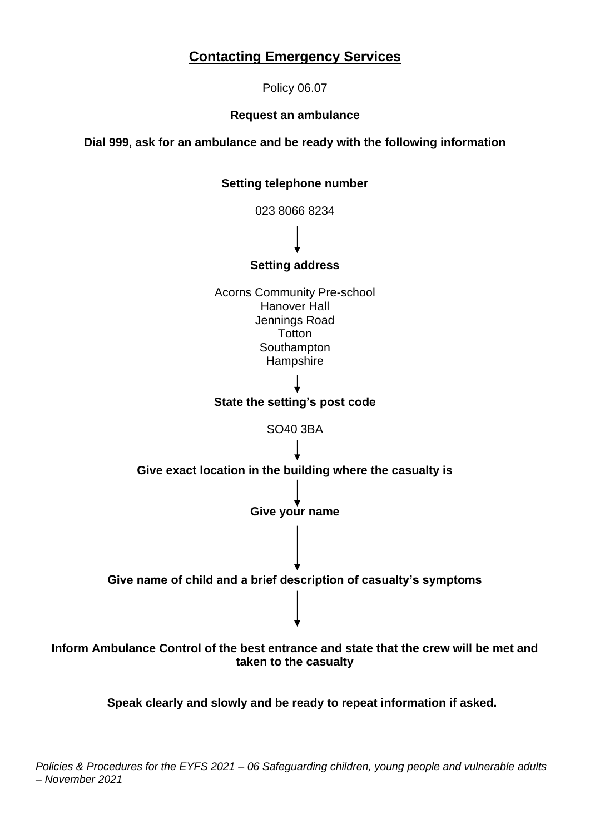# **Contacting Emergency Services**

Policy 06.07

# **Request an ambulance**

**Dial 999, ask for an ambulance and be ready with the following information**

## **Setting telephone number**

023 8066 8234

# **Setting address**

Acorns Community Pre-school Hanover Hall Jennings Road **Totton Southampton Hampshire** 

### **State the setting's post code**

SO40 3BA



# **Inform Ambulance Control of the best entrance and state that the crew will be met and taken to the casualty**

**Speak clearly and slowly and be ready to repeat information if asked.**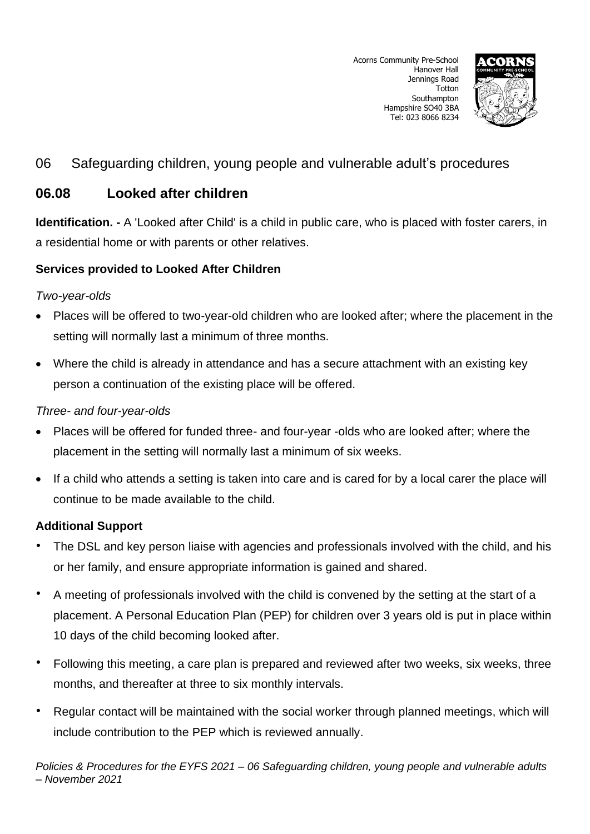

# **06.08 Looked after children**

**Identification. -** A 'Looked after Child' is a child in public care, who is placed with foster carers, in a residential home or with parents or other relatives.

# **Services provided to Looked After Children**

# *Two-year-olds*

- Places will be offered to two-year-old children who are looked after; where the placement in the setting will normally last a minimum of three months.
- Where the child is already in attendance and has a secure attachment with an existing key person a continuation of the existing place will be offered.

# *Three- and four-year-olds*

- Places will be offered for funded three- and four-year -olds who are looked after; where the placement in the setting will normally last a minimum of six weeks.
- If a child who attends a setting is taken into care and is cared for by a local carer the place will continue to be made available to the child.

# **Additional Support**

- The DSL and key person liaise with agencies and professionals involved with the child, and his or her family, and ensure appropriate information is gained and shared.
- A meeting of professionals involved with the child is convened by the setting at the start of a placement. A Personal Education Plan (PEP) for children over 3 years old is put in place within 10 days of the child becoming looked after.
- Following this meeting, a care plan is prepared and reviewed after two weeks, six weeks, three months, and thereafter at three to six monthly intervals.
- Regular contact will be maintained with the social worker through planned meetings, which will include contribution to the PEP which is reviewed annually.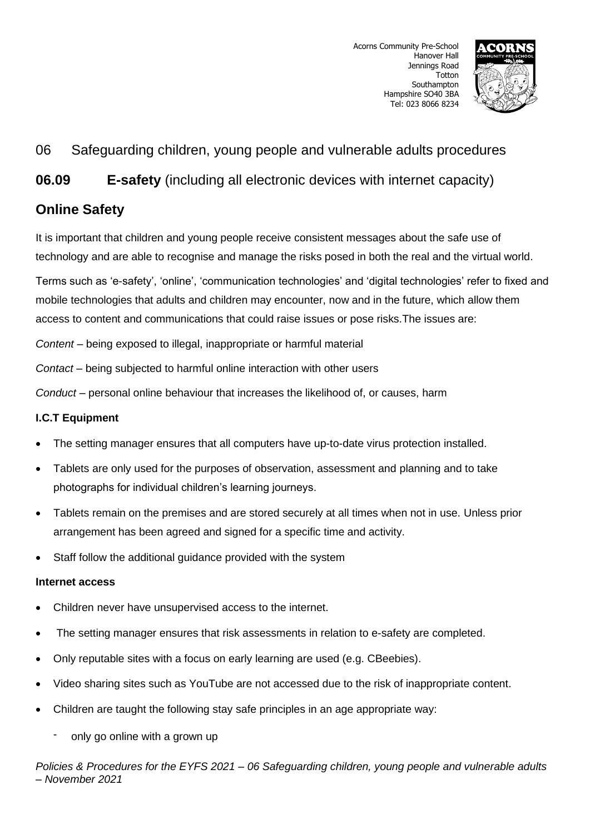

**06.09 E-safety** (including all electronic devices with internet capacity)

# **Online Safety**

It is important that children and young people receive consistent messages about the safe use of technology and are able to recognise and manage the risks posed in both the real and the virtual world.

Terms such as 'e-safety', 'online', 'communication technologies' and 'digital technologies' refer to fixed and mobile technologies that adults and children may encounter, now and in the future, which allow them access to content and communications that could raise issues or pose risks.The issues are:

*Content* – being exposed to illegal, inappropriate or harmful material

*Contact* – being subjected to harmful online interaction with other users

*Conduct* – personal online behaviour that increases the likelihood of, or causes, harm

# **I.C.T Equipment**

- The setting manager ensures that all computers have up-to-date virus protection installed.
- Tablets are only used for the purposes of observation, assessment and planning and to take photographs for individual children's learning journeys.
- Tablets remain on the premises and are stored securely at all times when not in use. Unless prior arrangement has been agreed and signed for a specific time and activity.
- Staff follow the additional guidance provided with the system

# **Internet access**

- Children never have unsupervised access to the internet.
- The setting manager ensures that risk assessments in relation to e-safety are completed.
- Only reputable sites with a focus on early learning are used (e.g. CBeebies).
- Video sharing sites such as YouTube are not accessed due to the risk of inappropriate content.
- Children are taught the following stay safe principles in an age appropriate way:
	- only go online with a grown up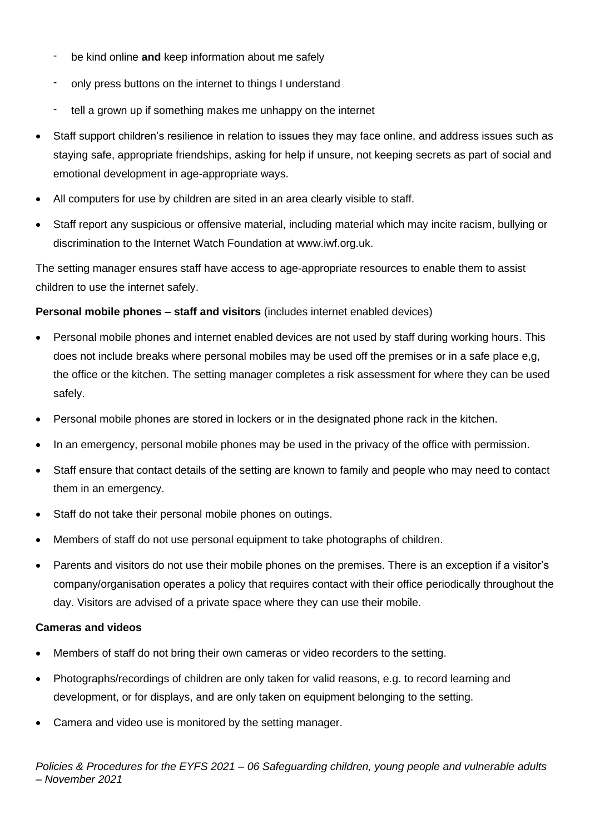- be kind online and keep information about me safely
- only press buttons on the internet to things I understand
- tell a grown up if something makes me unhappy on the internet
- Staff support children's resilience in relation to issues they may face online, and address issues such as staying safe, appropriate friendships, asking for help if unsure, not keeping secrets as part of social and emotional development in age-appropriate ways.
- All computers for use by children are sited in an area clearly visible to staff.
- Staff report any suspicious or offensive material, including material which may incite racism, bullying or discrimination to the Internet Watch Foundation at [www.iwf.org.uk.](http://www.iwf.org.uk/)

The setting manager ensures staff have access to age-appropriate resources to enable them to assist children to use the internet safely.

# **Personal mobile phones – staff and visitors** (includes internet enabled devices)

- Personal mobile phones and internet enabled devices are not used by staff during working hours. This does not include breaks where personal mobiles may be used off the premises or in a safe place e,g, the office or the kitchen. The setting manager completes a risk assessment for where they can be used safely.
- Personal mobile phones are stored in lockers or in the designated phone rack in the kitchen.
- In an emergency, personal mobile phones may be used in the privacy of the office with permission.
- Staff ensure that contact details of the setting are known to family and people who may need to contact them in an emergency.
- Staff do not take their personal mobile phones on outings.
- Members of staff do not use personal equipment to take photographs of children.
- Parents and visitors do not use their mobile phones on the premises. There is an exception if a visitor's company/organisation operates a policy that requires contact with their office periodically throughout the day. Visitors are advised of a private space where they can use their mobile.

### **Cameras and videos**

- Members of staff do not bring their own cameras or video recorders to the setting.
- Photographs/recordings of children are only taken for valid reasons, e.g. to record learning and development, or for displays, and are only taken on equipment belonging to the setting.
- Camera and video use is monitored by the setting manager.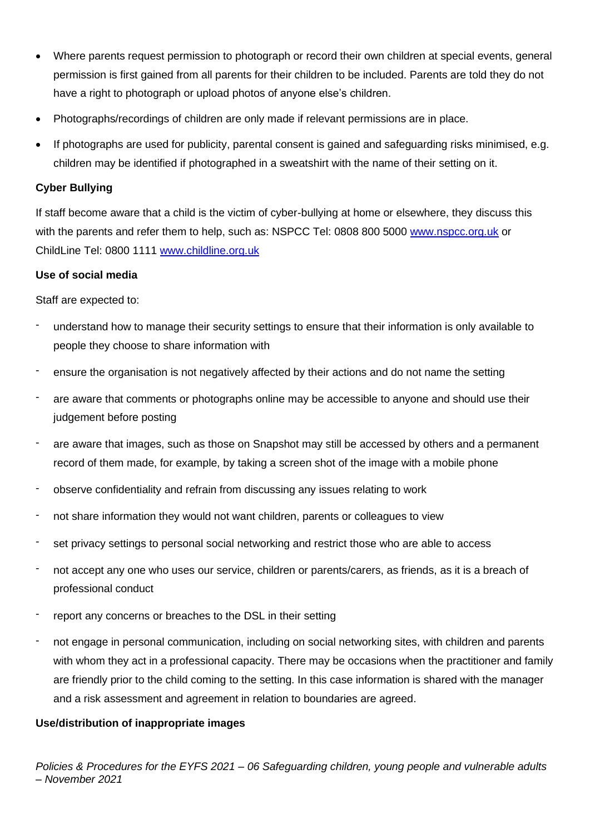- Where parents request permission to photograph or record their own children at special events, general permission is first gained from all parents for their children to be included. Parents are told they do not have a right to photograph or upload photos of anyone else's children.
- Photographs/recordings of children are only made if relevant permissions are in place.
- If photographs are used for publicity, parental consent is gained and safeguarding risks minimised, e.g. children may be identified if photographed in a sweatshirt with the name of their setting on it.

# **Cyber Bullying**

If staff become aware that a child is the victim of cyber-bullying at home or elsewhere, they discuss this with the parents and refer them to help, such as: NSPCC Tel: 0808 800 5000 [www.nspcc.org.uk](http://www.nspcc.org.uk/) or ChildLine Tel: 0800 1111 [www.childline.org.uk](http://www.childline.org.uk/)

# **Use of social media**

Staff are expected to:

- understand how to manage their security settings to ensure that their information is only available to people they choose to share information with
- ensure the organisation is not negatively affected by their actions and do not name the setting
- are aware that comments or photographs online may be accessible to anyone and should use their judgement before posting
- are aware that images, such as those on Snapshot may still be accessed by others and a permanent record of them made, for example, by taking a screen shot of the image with a mobile phone
- observe confidentiality and refrain from discussing any issues relating to work
- not share information they would not want children, parents or colleagues to view
- set privacy settings to personal social networking and restrict those who are able to access
- not accept any one who uses our service, children or parents/carers, as friends, as it is a breach of professional conduct
- report any concerns or breaches to the DSL in their setting
- not engage in personal communication, including on social networking sites, with children and parents with whom they act in a professional capacity. There may be occasions when the practitioner and family are friendly prior to the child coming to the setting. In this case information is shared with the manager and a risk assessment and agreement in relation to boundaries are agreed.

# **Use/distribution of inappropriate images**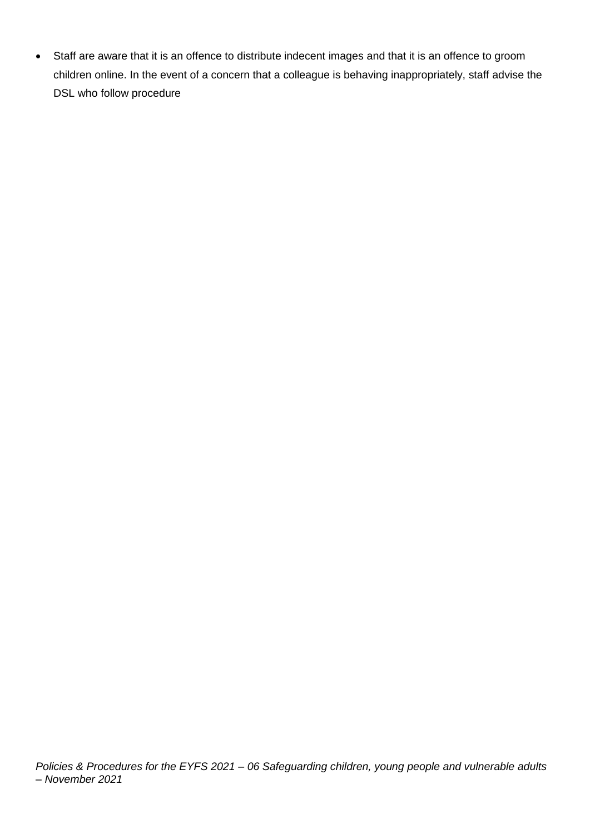• Staff are aware that it is an offence to distribute indecent images and that it is an offence to groom children online. In the event of a concern that a colleague is behaving inappropriately, staff advise the DSL who follow procedure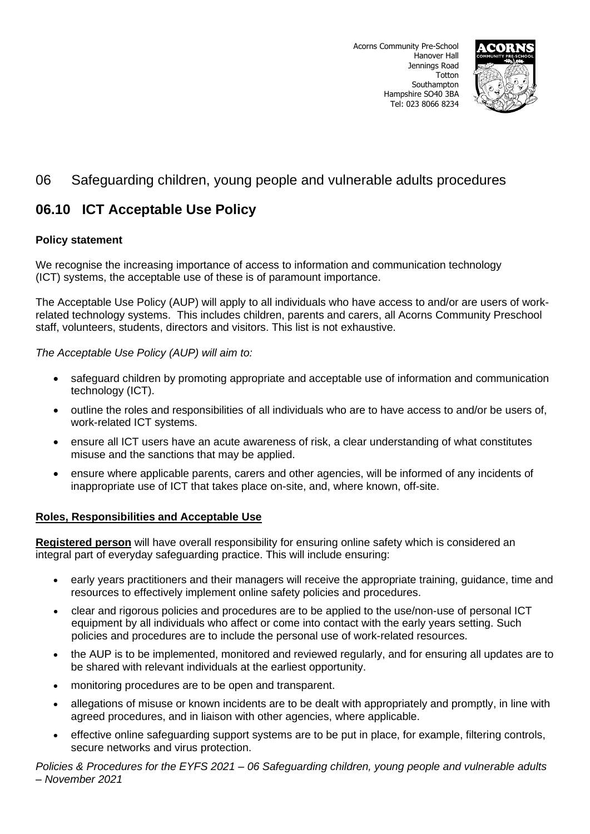

# **06.10 ICT Acceptable Use Policy**

# **Policy statement**

We recognise the increasing importance of access to information and communication technology (ICT) systems, the acceptable use of these is of paramount importance.

The Acceptable Use Policy (AUP) will apply to all individuals who have access to and/or are users of workrelated technology systems. This includes children, parents and carers, all Acorns Community Preschool staff, volunteers, students, directors and visitors. This list is not exhaustive.

*The Acceptable Use Policy (AUP) will aim to:* 

- safeguard children by promoting appropriate and acceptable use of information and communication technology (ICT).
- outline the roles and responsibilities of all individuals who are to have access to and/or be users of, work-related ICT systems.
- ensure all ICT users have an acute awareness of risk, a clear understanding of what constitutes misuse and the sanctions that may be applied.
- ensure where applicable parents, carers and other agencies, will be informed of any incidents of inappropriate use of ICT that takes place on-site, and, where known, off-site.

# **Roles, Responsibilities and Acceptable Use**

**Registered person** will have overall responsibility for ensuring online safety which is considered an integral part of everyday safeguarding practice. This will include ensuring:

- early years practitioners and their managers will receive the appropriate training, guidance, time and resources to effectively implement online safety policies and procedures.
- clear and rigorous policies and procedures are to be applied to the use/non-use of personal ICT equipment by all individuals who affect or come into contact with the early years setting. Such policies and procedures are to include the personal use of work-related resources.
- the AUP is to be implemented, monitored and reviewed regularly, and for ensuring all updates are to be shared with relevant individuals at the earliest opportunity.
- monitoring procedures are to be open and transparent.
- allegations of misuse or known incidents are to be dealt with appropriately and promptly, in line with agreed procedures, and in liaison with other agencies, where applicable.
- effective online safeguarding support systems are to be put in place, for example, filtering controls, secure networks and virus protection.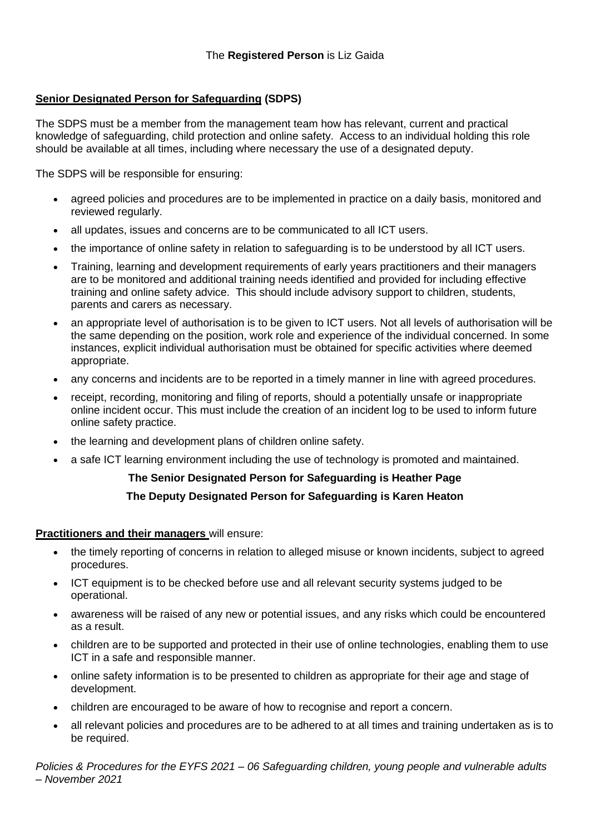# **Senior Designated Person for Safeguarding (SDPS)**

The SDPS must be a member from the management team how has relevant, current and practical knowledge of safeguarding, child protection and online safety. Access to an individual holding this role should be available at all times, including where necessary the use of a designated deputy.

The SDPS will be responsible for ensuring:

- agreed policies and procedures are to be implemented in practice on a daily basis, monitored and reviewed regularly.
- all updates, issues and concerns are to be communicated to all ICT users.
- the importance of online safety in relation to safeguarding is to be understood by all ICT users.
- Training, learning and development requirements of early years practitioners and their managers are to be monitored and additional training needs identified and provided for including effective training and online safety advice. This should include advisory support to children, students, parents and carers as necessary.
- an appropriate level of authorisation is to be given to ICT users. Not all levels of authorisation will be the same depending on the position, work role and experience of the individual concerned. In some instances, explicit individual authorisation must be obtained for specific activities where deemed appropriate.
- any concerns and incidents are to be reported in a timely manner in line with agreed procedures.
- receipt, recording, monitoring and filing of reports, should a potentially unsafe or inappropriate online incident occur. This must include the creation of an incident log to be used to inform future online safety practice.
- the learning and development plans of children online safety.
- a safe ICT learning environment including the use of technology is promoted and maintained.

# **The Senior Designated Person for Safeguarding is Heather Page**

# **The Deputy Designated Person for Safeguarding is Karen Heaton**

### **Practitioners and their managers** will ensure:

- the timely reporting of concerns in relation to alleged misuse or known incidents, subject to agreed procedures.
- ICT equipment is to be checked before use and all relevant security systems judged to be operational.
- awareness will be raised of any new or potential issues, and any risks which could be encountered as a result.
- children are to be supported and protected in their use of online technologies, enabling them to use ICT in a safe and responsible manner.
- online safety information is to be presented to children as appropriate for their age and stage of development.
- children are encouraged to be aware of how to recognise and report a concern.
- all relevant policies and procedures are to be adhered to at all times and training undertaken as is to be required.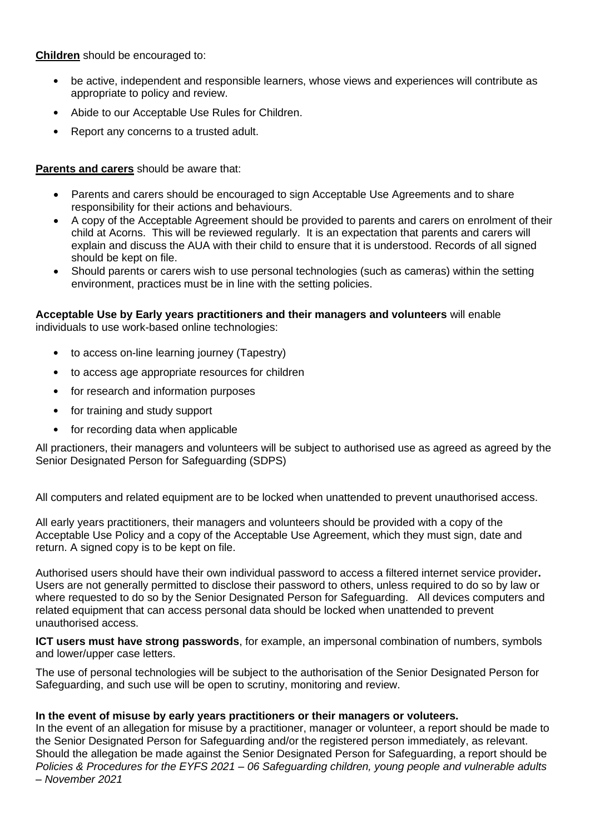**Children** should be encouraged to:

- be active, independent and responsible learners, whose views and experiences will contribute as appropriate to policy and review.
- Abide to our Acceptable Use Rules for Children.
- Report any concerns to a trusted adult.

### **Parents and carers** should be aware that:

- Parents and carers should be encouraged to sign Acceptable Use Agreements and to share responsibility for their actions and behaviours.
- A copy of the Acceptable Agreement should be provided to parents and carers on enrolment of their child at Acorns. This will be reviewed regularly. It is an expectation that parents and carers will explain and discuss the AUA with their child to ensure that it is understood. Records of all signed should be kept on file.
- Should parents or carers wish to use personal technologies (such as cameras) within the setting environment, practices must be in line with the setting policies.

#### **Acceptable Use by Early years practitioners and their managers and volunteers** will enable individuals to use work-based online technologies:

- to access on-line learning journey (Tapestry)
- to access age appropriate resources for children
- for research and information purposes
- for training and study support
- for recording data when applicable

All practioners, their managers and volunteers will be subject to authorised use as agreed as agreed by the Senior Designated Person for Safeguarding (SDPS)

All computers and related equipment are to be locked when unattended to prevent unauthorised access.

All early years practitioners, their managers and volunteers should be provided with a copy of the Acceptable Use Policy and a copy of the Acceptable Use Agreement, which they must sign, date and return. A signed copy is to be kept on file.

Authorised users should have their own individual password to access a filtered internet service provider**.**  Users are not generally permitted to disclose their password to others, unless required to do so by law or where requested to do so by the Senior Designated Person for Safeguarding. All devices computers and related equipment that can access personal data should be locked when unattended to prevent unauthorised access.

**ICT users must have strong passwords**, for example, an impersonal combination of numbers, symbols and lower/upper case letters.

The use of personal technologies will be subject to the authorisation of the Senior Designated Person for Safeguarding, and such use will be open to scrutiny, monitoring and review.

### **In the event of misuse by early years practitioners or their managers or voluteers.**

*Policies & Procedures for the EYFS 2021 – 06 Safeguarding children, young people and vulnerable adults – November 2021* In the event of an allegation for misuse by a practitioner, manager or volunteer, a report should be made to the Senior Designated Person for Safeguarding and/or the registered person immediately, as relevant. Should the allegation be made against the Senior Designated Person for Safeguarding, a report should be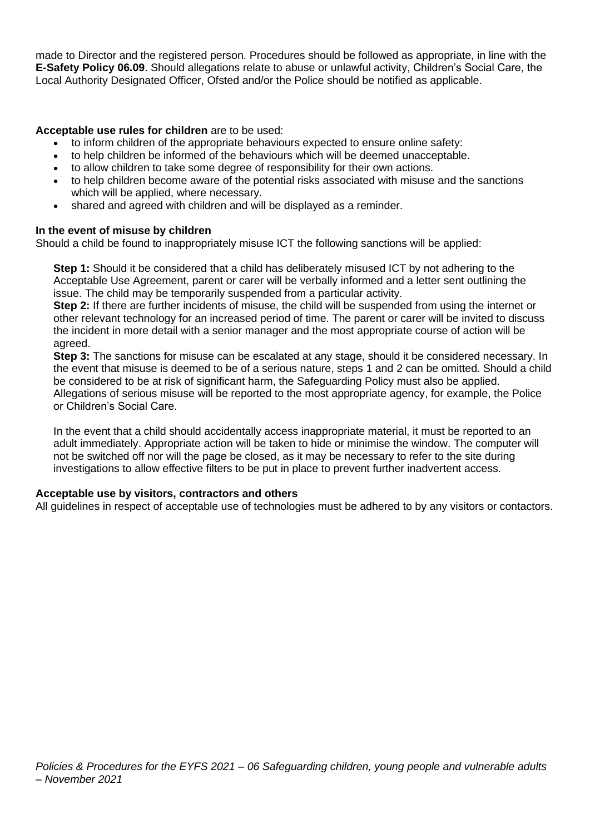made to Director and the registered person. Procedures should be followed as appropriate, in line with the **E-Safety Policy 06.09**. Should allegations relate to abuse or unlawful activity, Children's Social Care, the Local Authority Designated Officer, Ofsted and/or the Police should be notified as applicable.

### **Acceptable use rules for children** are to be used:

- to inform children of the appropriate behaviours expected to ensure online safety:
- to help children be informed of the behaviours which will be deemed unacceptable.
- to allow children to take some degree of responsibility for their own actions.
- to help children become aware of the potential risks associated with misuse and the sanctions which will be applied, where necessary.
- shared and agreed with children and will be displayed as a reminder.

### **In the event of misuse by children**

Should a child be found to inappropriately misuse ICT the following sanctions will be applied:

**Step 1:** Should it be considered that a child has deliberately misused ICT by not adhering to the Acceptable Use Agreement, parent or carer will be verbally informed and a letter sent outlining the issue. The child may be temporarily suspended from a particular activity.

**Step 2:** If there are further incidents of misuse, the child will be suspended from using the internet or other relevant technology for an increased period of time. The parent or carer will be invited to discuss the incident in more detail with a senior manager and the most appropriate course of action will be agreed.

**Step 3:** The sanctions for misuse can be escalated at any stage, should it be considered necessary. In the event that misuse is deemed to be of a serious nature, steps 1 and 2 can be omitted. Should a child be considered to be at risk of significant harm, the Safeguarding Policy must also be applied. Allegations of serious misuse will be reported to the most appropriate agency, for example, the Police or Children's Social Care.

In the event that a child should accidentally access inappropriate material, it must be reported to an adult immediately. Appropriate action will be taken to hide or minimise the window. The computer will not be switched off nor will the page be closed, as it may be necessary to refer to the site during investigations to allow effective filters to be put in place to prevent further inadvertent access.

### **Acceptable use by visitors, contractors and others**

All guidelines in respect of acceptable use of technologies must be adhered to by any visitors or contactors.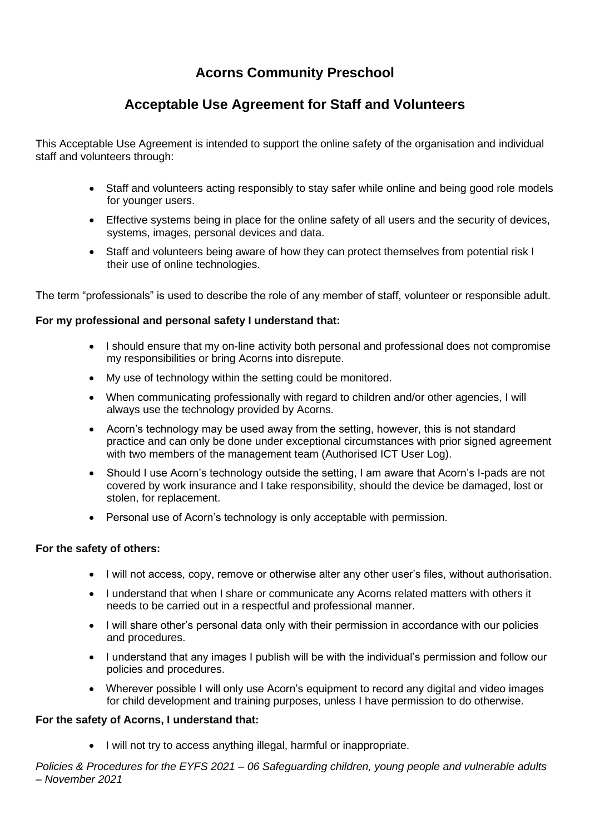# **Acorns Community Preschool**

# **Acceptable Use Agreement for Staff and Volunteers**

This Acceptable Use Agreement is intended to support the online safety of the organisation and individual staff and volunteers through:

- Staff and volunteers acting responsibly to stay safer while online and being good role models for younger users.
- Effective systems being in place for the online safety of all users and the security of devices, systems, images, personal devices and data.
- Staff and volunteers being aware of how they can protect themselves from potential risk I their use of online technologies.

The term "professionals" is used to describe the role of any member of staff, volunteer or responsible adult.

# **For my professional and personal safety I understand that:**

- I should ensure that my on-line activity both personal and professional does not compromise my responsibilities or bring Acorns into disrepute.
- My use of technology within the setting could be monitored.
- When communicating professionally with regard to children and/or other agencies, I will always use the technology provided by Acorns.
- Acorn's technology may be used away from the setting, however, this is not standard practice and can only be done under exceptional circumstances with prior signed agreement with two members of the management team (Authorised ICT User Log).
- Should I use Acorn's technology outside the setting, I am aware that Acorn's I-pads are not covered by work insurance and I take responsibility, should the device be damaged, lost or stolen, for replacement.
- Personal use of Acorn's technology is only acceptable with permission.

### **For the safety of others:**

- I will not access, copy, remove or otherwise alter any other user's files, without authorisation.
- I understand that when I share or communicate any Acorns related matters with others it needs to be carried out in a respectful and professional manner.
- I will share other's personal data only with their permission in accordance with our policies and procedures.
- I understand that any images I publish will be with the individual's permission and follow our policies and procedures.
- Wherever possible I will only use Acorn's equipment to record any digital and video images for child development and training purposes, unless I have permission to do otherwise.

### **For the safety of Acorns, I understand that:**

• I will not try to access anything illegal, harmful or inappropriate.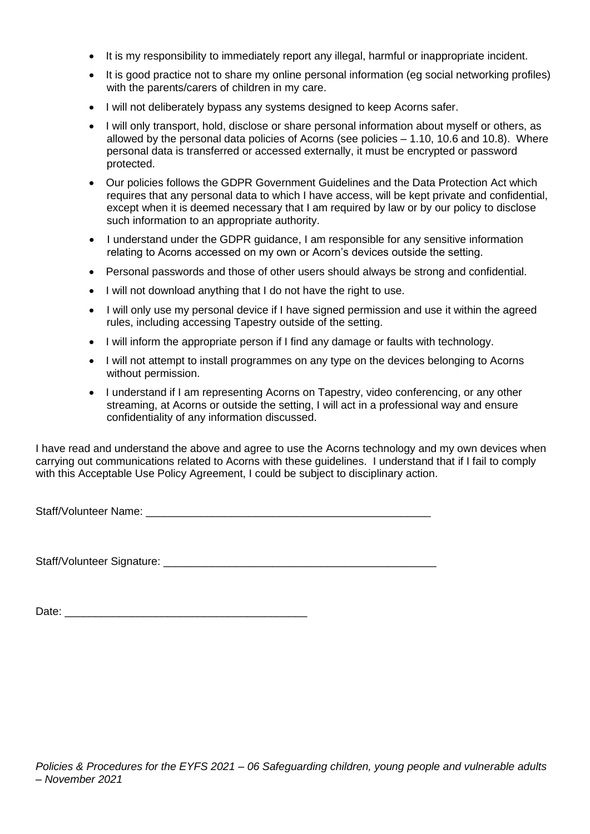- It is my responsibility to immediately report any illegal, harmful or inappropriate incident.
- It is good practice not to share my online personal information (eg social networking profiles) with the parents/carers of children in my care.
- I will not deliberately bypass any systems designed to keep Acorns safer.
- I will only transport, hold, disclose or share personal information about myself or others, as allowed by the personal data policies of Acorns (see policies – 1.10, 10.6 and 10.8). Where personal data is transferred or accessed externally, it must be encrypted or password protected.
- Our policies follows the GDPR Government Guidelines and the Data Protection Act which requires that any personal data to which I have access, will be kept private and confidential, except when it is deemed necessary that I am required by law or by our policy to disclose such information to an appropriate authority.
- I understand under the GDPR guidance, I am responsible for any sensitive information relating to Acorns accessed on my own or Acorn's devices outside the setting.
- Personal passwords and those of other users should always be strong and confidential.
- I will not download anything that I do not have the right to use.
- I will only use my personal device if I have signed permission and use it within the agreed rules, including accessing Tapestry outside of the setting.
- I will inform the appropriate person if I find any damage or faults with technology.
- I will not attempt to install programmes on any type on the devices belonging to Acorns without permission.
- I understand if I am representing Acorns on Tapestry, video conferencing, or any other streaming, at Acorns or outside the setting, I will act in a professional way and ensure confidentiality of any information discussed.

I have read and understand the above and agree to use the Acorns technology and my own devices when carrying out communications related to Acorns with these guidelines. I understand that if I fail to comply with this Acceptable Use Policy Agreement, I could be subject to disciplinary action.

Staff/Volunteer Name: **Example 2018** 

Staff/Volunteer Signature: **Example 2018** 

Date: \_\_\_\_\_\_\_\_\_\_\_\_\_\_\_\_\_\_\_\_\_\_\_\_\_\_\_\_\_\_\_\_\_\_\_\_\_\_\_\_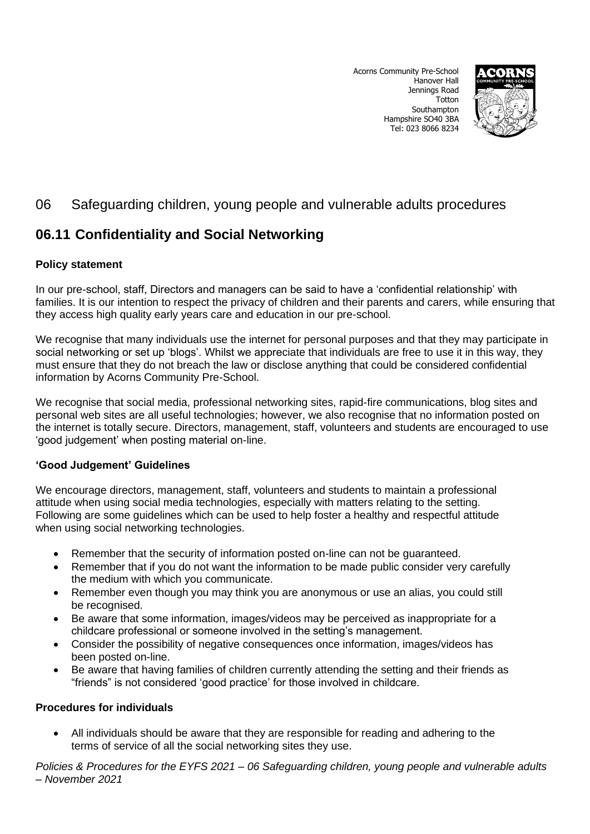Acorns Community Pre-School Hanover Hall Jennings Road **Totton** Southampton Hampshire SO40 3BA Tel: 023 8066 8234



# 06 Safeguarding children, young people and vulnerable adults procedures

# **06.11 Confidentiality and Social Networking**

# **Policy statement**

In our pre-school, staff, Directors and managers can be said to have a 'confidential relationship' with families. It is our intention to respect the privacy of children and their parents and carers, while ensuring that they access high quality early years care and education in our pre-school.

We recognise that many individuals use the internet for personal purposes and that they may participate in social networking or set up 'blogs'. Whilst we appreciate that individuals are free to use it in this way, they must ensure that they do not breach the law or disclose anything that could be considered confidential information by Acorns Community Pre-School.

We recognise that social media, professional networking sites, rapid-fire communications, blog sites and personal web sites are all useful technologies; however, we also recognise that no information posted on the internet is totally secure. Directors, management, staff, volunteers and students are encouraged to use 'good judgement' when posting material on-line.

# **'Good Judgement' Guidelines**

We encourage directors, management, staff, volunteers and students to maintain a professional attitude when using social media technologies, especially with matters relating to the setting. Following are some guidelines which can be used to help foster a healthy and respectful attitude when using social networking technologies.

- Remember that the security of information posted on-line can not be guaranteed.
- Remember that if you do not want the information to be made public consider very carefully the medium with which you communicate.
- Remember even though you may think you are anonymous or use an alias, you could still be recognised.
- Be aware that some information, images/videos may be perceived as inappropriate for a childcare professional or someone involved in the setting's management.
- Consider the possibility of negative consequences once information, images/videos has been posted on-line.
- Be aware that having families of children currently attending the setting and their friends as "friends" is not considered 'good practice' for those involved in childcare.

# **Procedures for individuals**

• All individuals should be aware that they are responsible for reading and adhering to the terms of service of all the social networking sites they use.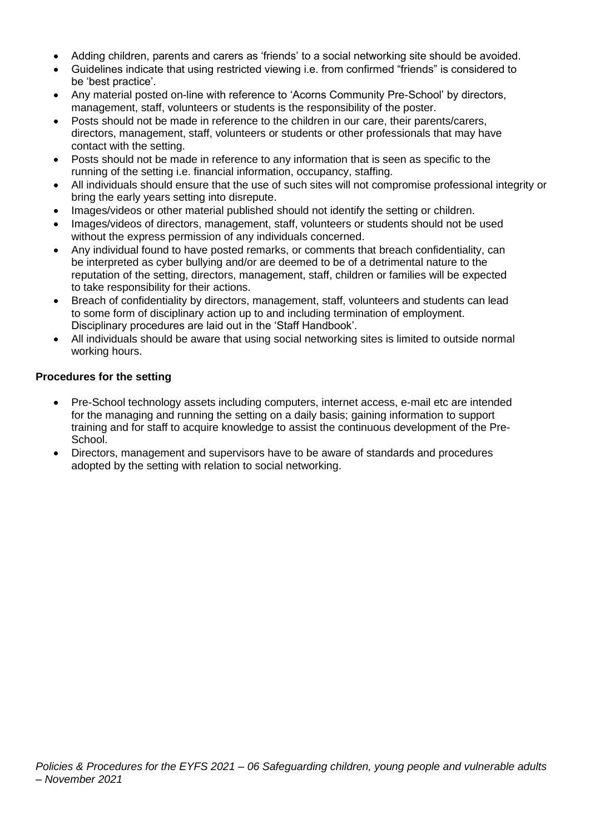- Adding children, parents and carers as 'friends' to a social networking site should be avoided.
- Guidelines indicate that using restricted viewing i.e. from confirmed "friends" is considered to be 'best practice'.
- Any material posted on-line with reference to 'Acorns Community Pre-School' by directors, management, staff, volunteers or students is the responsibility of the poster.
- Posts should not be made in reference to the children in our care, their parents/carers, directors, management, staff, volunteers or students or other professionals that may have contact with the setting.
- Posts should not be made in reference to any information that is seen as specific to the running of the setting i.e. financial information, occupancy, staffing.
- All individuals should ensure that the use of such sites will not compromise professional integrity or bring the early years setting into disrepute.
- Images/videos or other material published should not identify the setting or children.
- Images/videos of directors, management, staff, volunteers or students should not be used without the express permission of any individuals concerned.
- Any individual found to have posted remarks, or comments that breach confidentiality, can be interpreted as cyber bullying and/or are deemed to be of a detrimental nature to the reputation of the setting, directors, management, staff, children or families will be expected to take responsibility for their actions.
- Breach of confidentiality by directors, management, staff, volunteers and students can lead to some form of disciplinary action up to and including termination of employment. Disciplinary procedures are laid out in the 'Staff Handbook'.
- All individuals should be aware that using social networking sites is limited to outside normal working hours.

# **Procedures for the setting**

- Pre-School technology assets including computers, internet access, e-mail etc are intended for the managing and running the setting on a daily basis; gaining information to support training and for staff to acquire knowledge to assist the continuous development of the Pre-School.
- Directors, management and supervisors have to be aware of standards and procedures adopted by the setting with relation to social networking.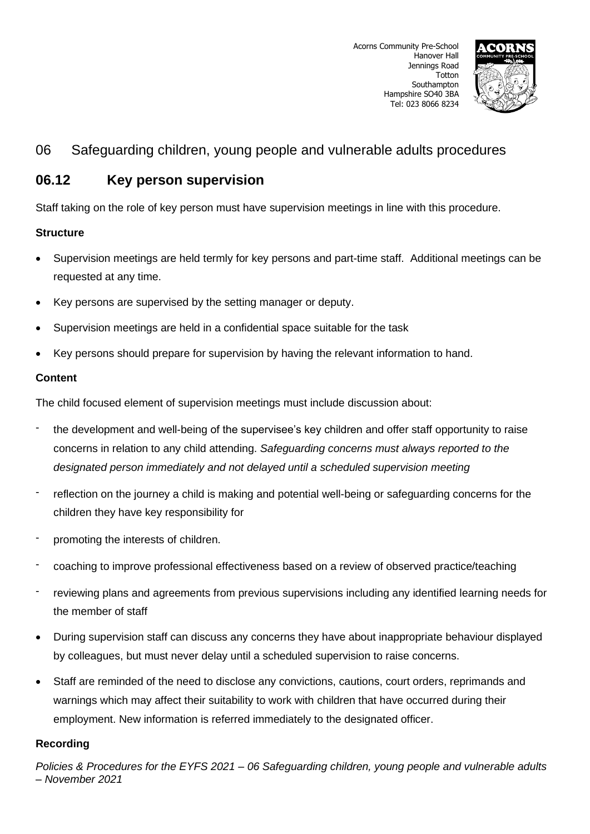

# **06.12 Key person supervision**

Staff taking on the role of key person must have supervision meetings in line with this procedure.

# **Structure**

- Supervision meetings are held termly for key persons and part-time staff. Additional meetings can be requested at any time.
- Key persons are supervised by the setting manager or deputy.
- Supervision meetings are held in a confidential space suitable for the task
- Key persons should prepare for supervision by having the relevant information to hand.

# **Content**

The child focused element of supervision meetings must include discussion about:

- the development and well-being of the supervisee's key children and offer staff opportunity to raise concerns in relation to any child attending. *Safeguarding concerns must always reported to the designated person immediately and not delayed until a scheduled supervision meeting*
- reflection on the journey a child is making and potential well-being or safeguarding concerns for the children they have key responsibility for
- promoting the interests of children.
- coaching to improve professional effectiveness based on a review of observed practice/teaching
- reviewing plans and agreements from previous supervisions including any identified learning needs for the member of staff
- During supervision staff can discuss any concerns they have about inappropriate behaviour displayed by colleagues, but must never delay until a scheduled supervision to raise concerns.
- Staff are reminded of the need to disclose any convictions, cautions, court orders, reprimands and warnings which may affect their suitability to work with children that have occurred during their employment. New information is referred immediately to the designated officer.

# **Recording**